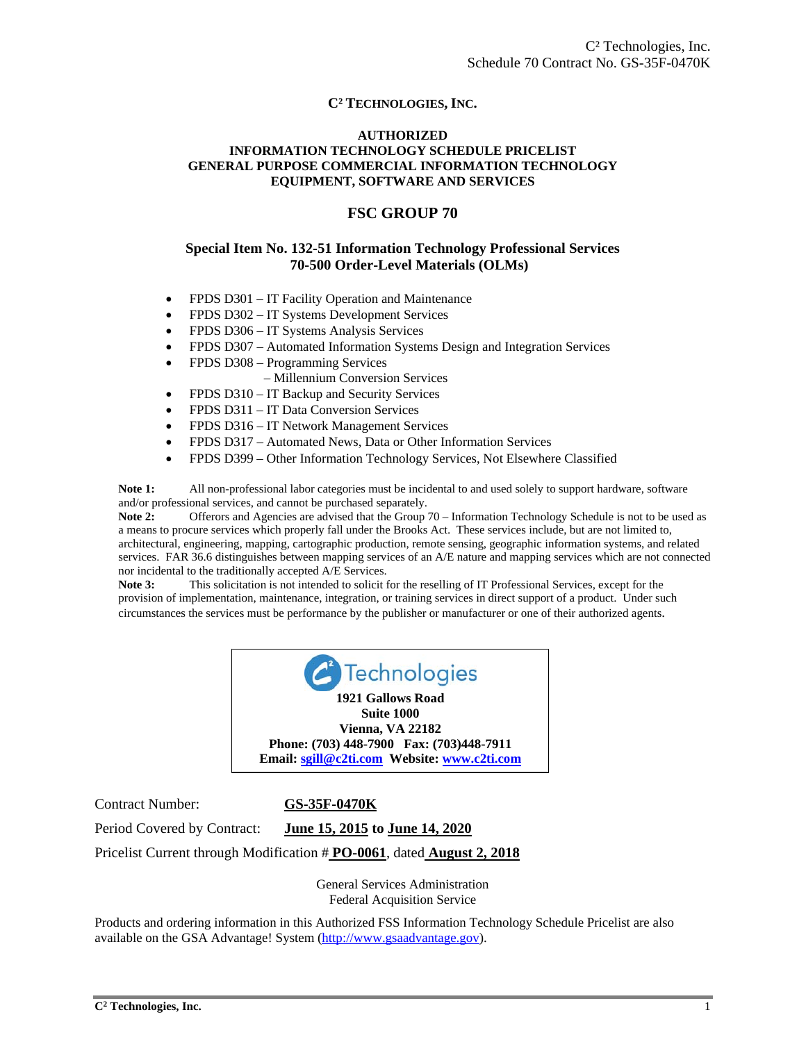#### **C² TECHNOLOGIES, INC.**

#### **AUTHORIZED INFORMATION TECHNOLOGY SCHEDULE PRICELIST GENERAL PURPOSE COMMERCIAL INFORMATION TECHNOLOGY EQUIPMENT, SOFTWARE AND SERVICES**

#### **FSC GROUP 70**

#### **Special Item No. 132-51 Information Technology Professional Services 70-500 Order-Level Materials (OLMs)**

- FPDS D301 IT Facility Operation and Maintenance
- FPDS D302 IT Systems Development Services
- FPDS D306 IT Systems Analysis Services
- FPDS D307 Automated Information Systems Design and Integration Services
- FPDS D308 Programming Services
	- Millennium Conversion Services
- FPDS D310 IT Backup and Security Services
- FPDS D311 IT Data Conversion Services
- FPDS D316 IT Network Management Services
- FPDS D317 Automated News, Data or Other Information Services
- FPDS D399 Other Information Technology Services, Not Elsewhere Classified

**Note 1:** All non-professional labor categories must be incidental to and used solely to support hardware, software and/or professional services, and cannot be purchased separately.

**Note 2:** Offerors and Agencies are advised that the Group 70 – Information Technology Schedule is not to be used as a means to procure services which properly fall under the Brooks Act. These services include, but are not limited to, architectural, engineering, mapping, cartographic production, remote sensing, geographic information systems, and related services. FAR 36.6 distinguishes between mapping services of an A/E nature and mapping services which are not connected nor incidental to the traditionally accepted A/E Services.

**Note 3:** This solicitation is not intended to solicit for the reselling of IT Professional Services, except for the provision of implementation, maintenance, integration, or training services in direct support of a product. Under such circumstances the services must be performance by the publisher or manufacturer or one of their authorized agents.



Contract Number: **GS-35F-0470K**

Period Covered by Contract: **June 15, 2015 to June 14, 2020** 

Pricelist Current through Modification # **PO-0061**, dated **August 2, 2018** 

General Services Administration Federal Acquisition Service

Products and ordering information in this Authorized FSS Information Technology Schedule Pricelist are also available on the GSA Advantage! System (http://www.gsaadvantage.gov).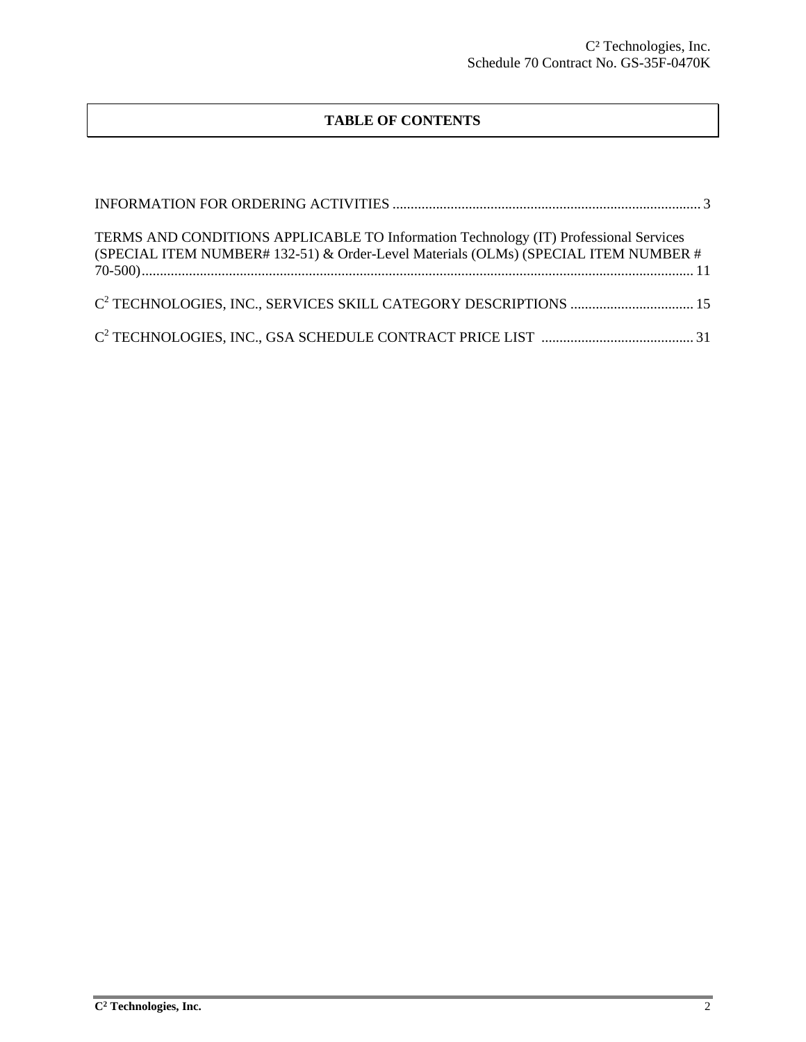# **TABLE OF CONTENTS**

| TERMS AND CONDITIONS APPLICABLE TO Information Technology (IT) Professional Services<br>(SPECIAL ITEM NUMBER# 132-51) & Order-Level Materials (OLMs) (SPECIAL ITEM NUMBER # |  |
|-----------------------------------------------------------------------------------------------------------------------------------------------------------------------------|--|
|                                                                                                                                                                             |  |
|                                                                                                                                                                             |  |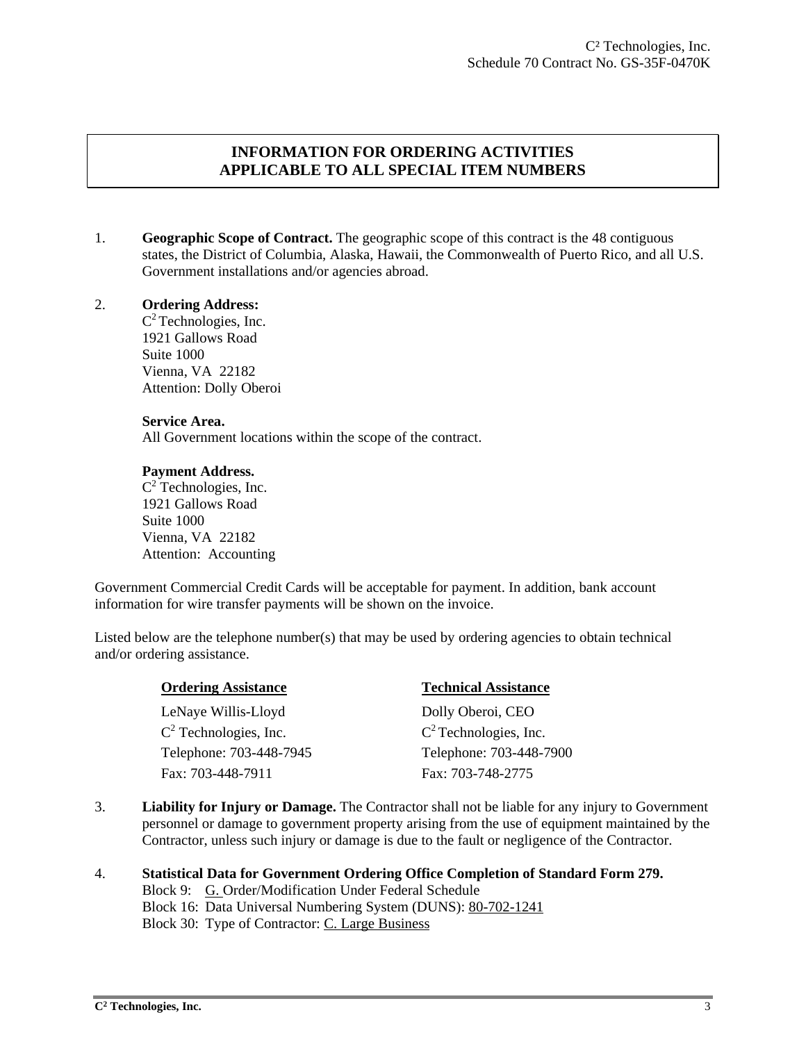# **INFORMATION FOR ORDERING ACTIVITIES APPLICABLE TO ALL SPECIAL ITEM NUMBERS**

1. **Geographic Scope of Contract.** The geographic scope of this contract is the 48 contiguous states, the District of Columbia, Alaska, Hawaii, the Commonwealth of Puerto Rico, and all U.S. Government installations and/or agencies abroad.

#### 2. **Ordering Address:**

 $C^2$  Technologies, Inc. 1921 Gallows Road Suite 1000 Vienna, VA 22182 Attention: Dolly Oberoi

#### **Service Area.**

All Government locations within the scope of the contract.

#### **Payment Address.**

 $C^2$  Technologies, Inc. 1921 Gallows Road Suite 1000 Vienna, VA 22182 Attention: Accounting

Government Commercial Credit Cards will be acceptable for payment. In addition, bank account information for wire transfer payments will be shown on the invoice.

Listed below are the telephone number(s) that may be used by ordering agencies to obtain technical and/or ordering assistance.

| <b>Ordering Assistance</b> | <b>Technical Assistance</b> |
|----------------------------|-----------------------------|
| LeNaye Willis-Lloyd        | Dolly Oberoi, CEO           |
| $C2$ Technologies, Inc.    | $C^2$ Technologies, Inc.    |
| Telephone: 703-448-7945    | Telephone: 703-448-7900     |
| Fax: 703-448-7911          | Fax: 703-748-2775           |

3. **Liability for Injury or Damage.** The Contractor shall not be liable for any injury to Government personnel or damage to government property arising from the use of equipment maintained by the Contractor, unless such injury or damage is due to the fault or negligence of the Contractor.

## 4. **Statistical Data for Government Ordering Office Completion of Standard Form 279.**

Block 9: G. Order/Modification Under Federal Schedule Block 16: Data Universal Numbering System (DUNS): 80-702-1241 Block 30: Type of Contractor: C. Large Business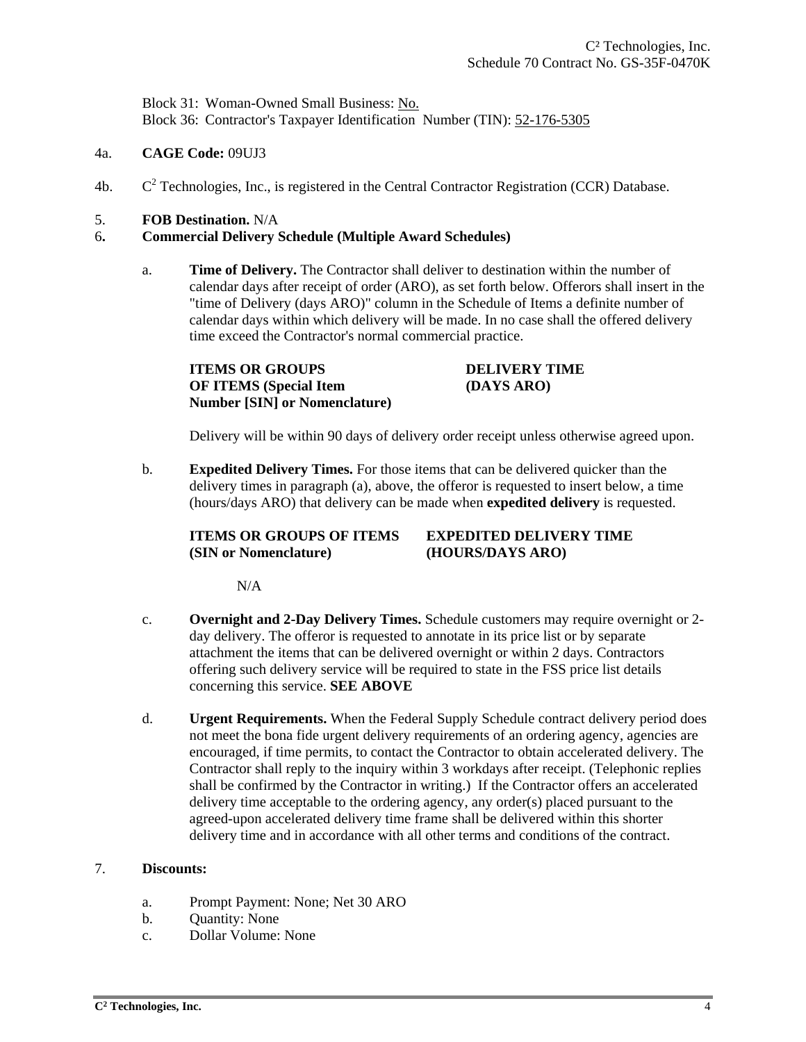Block 31: Woman-Owned Small Business: No. Block 36: Contractor's Taxpayer Identification Number (TIN): 52-176-5305

- 4a. **CAGE Code:** 09UJ3
- $4<sub>b</sub>$ .  $C<sup>2</sup>$  Technologies, Inc., is registered in the Central Contractor Registration (CCR) Database.
- 5. **FOB Destination.** N/A

#### 6**. Commercial Delivery Schedule (Multiple Award Schedules)**

a. **Time of Delivery.** The Contractor shall deliver to destination within the number of calendar days after receipt of order (ARO), as set forth below. Offerors shall insert in the "time of Delivery (days ARO)" column in the Schedule of Items a definite number of calendar days within which delivery will be made. In no case shall the offered delivery time exceed the Contractor's normal commercial practice.

**ITEMS OR GROUPS DELIVERY TIME OF ITEMS (Special Item (DAYS ARO) Number [SIN] or Nomenclature)** 

Delivery will be within 90 days of delivery order receipt unless otherwise agreed upon.

b. **Expedited Delivery Times.** For those items that can be delivered quicker than the delivery times in paragraph (a), above, the offeror is requested to insert below, a time (hours/days ARO) that delivery can be made when **expedited delivery** is requested.

## **ITEMS OR GROUPS OF ITEMS EXPEDITED DELIVERY TIME (SIN or Nomenclature) (HOURS/DAYS ARO)**

N/A

- c. **Overnight and 2-Day Delivery Times.** Schedule customers may require overnight or 2 day delivery. The offeror is requested to annotate in its price list or by separate attachment the items that can be delivered overnight or within 2 days. Contractors offering such delivery service will be required to state in the FSS price list details concerning this service. **SEE ABOVE**
- d. **Urgent Requirements.** When the Federal Supply Schedule contract delivery period does not meet the bona fide urgent delivery requirements of an ordering agency, agencies are encouraged, if time permits, to contact the Contractor to obtain accelerated delivery. The Contractor shall reply to the inquiry within 3 workdays after receipt. (Telephonic replies shall be confirmed by the Contractor in writing.) If the Contractor offers an accelerated delivery time acceptable to the ordering agency, any order(s) placed pursuant to the agreed-upon accelerated delivery time frame shall be delivered within this shorter delivery time and in accordance with all other terms and conditions of the contract.

#### 7. **Discounts:**

- a. Prompt Payment: None; Net 30 ARO
- b. Quantity: None
- c. Dollar Volume: None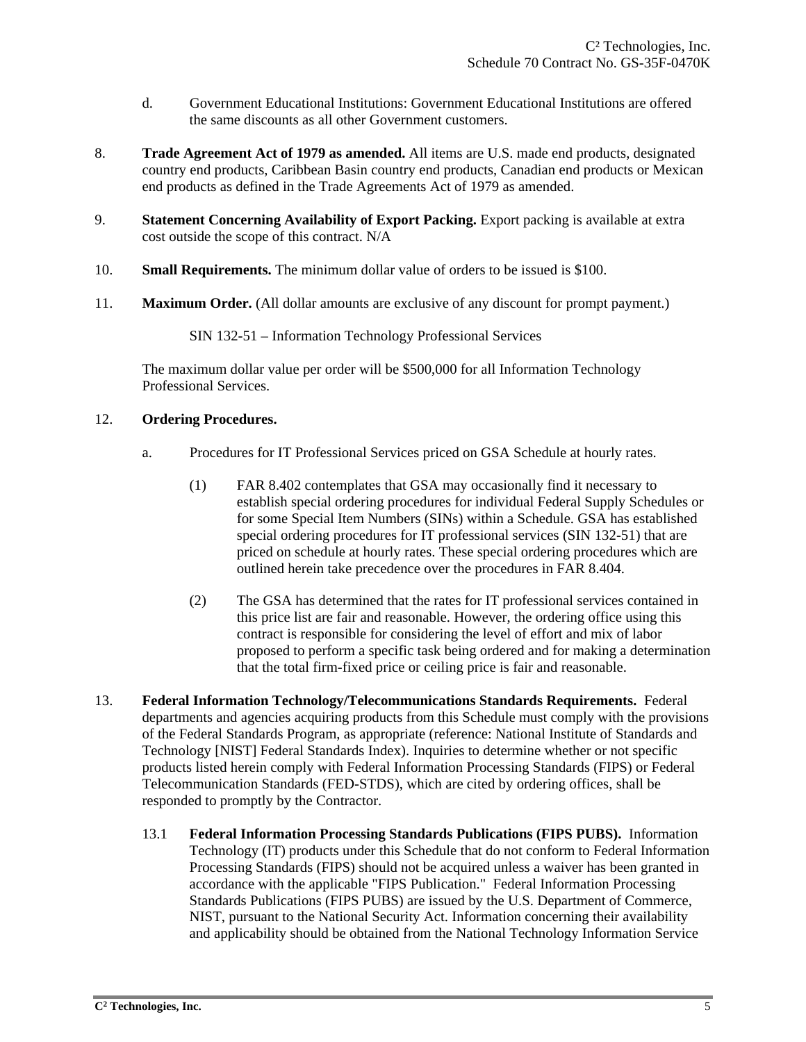- d. Government Educational Institutions: Government Educational Institutions are offered the same discounts as all other Government customers.
- 8. **Trade Agreement Act of 1979 as amended.** All items are U.S. made end products, designated country end products, Caribbean Basin country end products, Canadian end products or Mexican end products as defined in the Trade Agreements Act of 1979 as amended.
- 9. **Statement Concerning Availability of Export Packing.** Export packing is available at extra cost outside the scope of this contract. N/A
- 10. **Small Requirements.** The minimum dollar value of orders to be issued is \$100.
- 11. **Maximum Order.** (All dollar amounts are exclusive of any discount for prompt payment.)

SIN 132-51 – Information Technology Professional Services

 The maximum dollar value per order will be \$500,000 for all Information Technology Professional Services.

## 12. **Ordering Procedures.**

- a. Procedures for IT Professional Services priced on GSA Schedule at hourly rates.
	- (1) FAR 8.402 contemplates that GSA may occasionally find it necessary to establish special ordering procedures for individual Federal Supply Schedules or for some Special Item Numbers (SINs) within a Schedule. GSA has established special ordering procedures for IT professional services (SIN 132-51) that are priced on schedule at hourly rates. These special ordering procedures which are outlined herein take precedence over the procedures in FAR 8.404.
	- (2) The GSA has determined that the rates for IT professional services contained in this price list are fair and reasonable. However, the ordering office using this contract is responsible for considering the level of effort and mix of labor proposed to perform a specific task being ordered and for making a determination that the total firm-fixed price or ceiling price is fair and reasonable.
- 13. **Federal Information Technology/Telecommunications Standards Requirements.** Federal departments and agencies acquiring products from this Schedule must comply with the provisions of the Federal Standards Program, as appropriate (reference: National Institute of Standards and Technology [NIST] Federal Standards Index). Inquiries to determine whether or not specific products listed herein comply with Federal Information Processing Standards (FIPS) or Federal Telecommunication Standards (FED-STDS), which are cited by ordering offices, shall be responded to promptly by the Contractor.
	- 13.1 **Federal Information Processing Standards Publications (FIPS PUBS).** Information Technology (IT) products under this Schedule that do not conform to Federal Information Processing Standards (FIPS) should not be acquired unless a waiver has been granted in accordance with the applicable "FIPS Publication." Federal Information Processing Standards Publications (FIPS PUBS) are issued by the U.S. Department of Commerce, NIST, pursuant to the National Security Act. Information concerning their availability and applicability should be obtained from the National Technology Information Service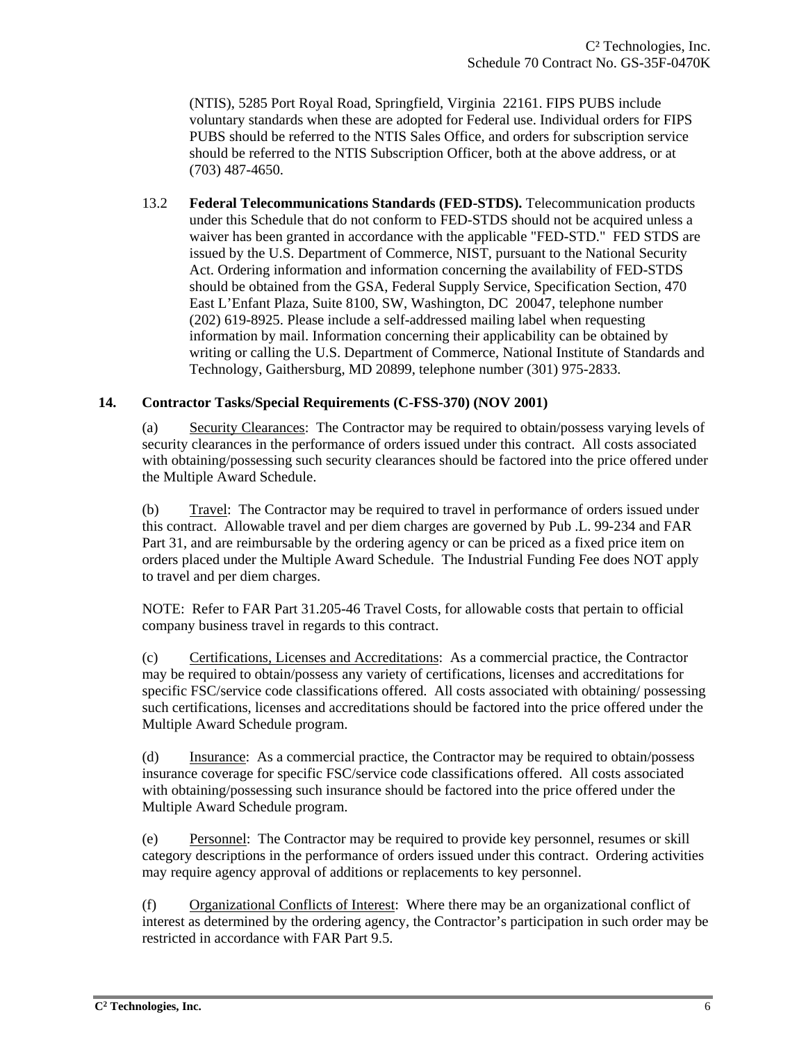(NTIS), 5285 Port Royal Road, Springfield, Virginia 22161. FIPS PUBS include voluntary standards when these are adopted for Federal use. Individual orders for FIPS PUBS should be referred to the NTIS Sales Office, and orders for subscription service should be referred to the NTIS Subscription Officer, both at the above address, or at (703) 487-4650.

 13.2 **Federal Telecommunications Standards (FED-STDS).** Telecommunication products under this Schedule that do not conform to FED-STDS should not be acquired unless a waiver has been granted in accordance with the applicable "FED-STD." FED STDS are issued by the U.S. Department of Commerce, NIST, pursuant to the National Security Act. Ordering information and information concerning the availability of FED-STDS should be obtained from the GSA, Federal Supply Service, Specification Section, 470 East L'Enfant Plaza, Suite 8100, SW, Washington, DC 20047, telephone number (202) 619-8925. Please include a self-addressed mailing label when requesting information by mail. Information concerning their applicability can be obtained by writing or calling the U.S. Department of Commerce, National Institute of Standards and Technology, Gaithersburg, MD 20899, telephone number (301) 975-2833.

#### **14. Contractor Tasks/Special Requirements (C-FSS-370) (NOV 2001)**

(a) Security Clearances: The Contractor may be required to obtain/possess varying levels of security clearances in the performance of orders issued under this contract. All costs associated with obtaining/possessing such security clearances should be factored into the price offered under the Multiple Award Schedule.

(b) Travel: The Contractor may be required to travel in performance of orders issued under this contract. Allowable travel and per diem charges are governed by Pub .L. 99-234 and FAR Part 31, and are reimbursable by the ordering agency or can be priced as a fixed price item on orders placed under the Multiple Award Schedule. The Industrial Funding Fee does NOT apply to travel and per diem charges.

NOTE: Refer to FAR Part 31.205-46 Travel Costs, for allowable costs that pertain to official company business travel in regards to this contract.

(c) Certifications, Licenses and Accreditations: As a commercial practice, the Contractor may be required to obtain/possess any variety of certifications, licenses and accreditations for specific FSC/service code classifications offered. All costs associated with obtaining/ possessing such certifications, licenses and accreditations should be factored into the price offered under the Multiple Award Schedule program.

(d) Insurance: As a commercial practice, the Contractor may be required to obtain/possess insurance coverage for specific FSC/service code classifications offered. All costs associated with obtaining/possessing such insurance should be factored into the price offered under the Multiple Award Schedule program.

(e) Personnel: The Contractor may be required to provide key personnel, resumes or skill category descriptions in the performance of orders issued under this contract. Ordering activities may require agency approval of additions or replacements to key personnel.

(f) Organizational Conflicts of Interest: Where there may be an organizational conflict of interest as determined by the ordering agency, the Contractor's participation in such order may be restricted in accordance with FAR Part 9.5.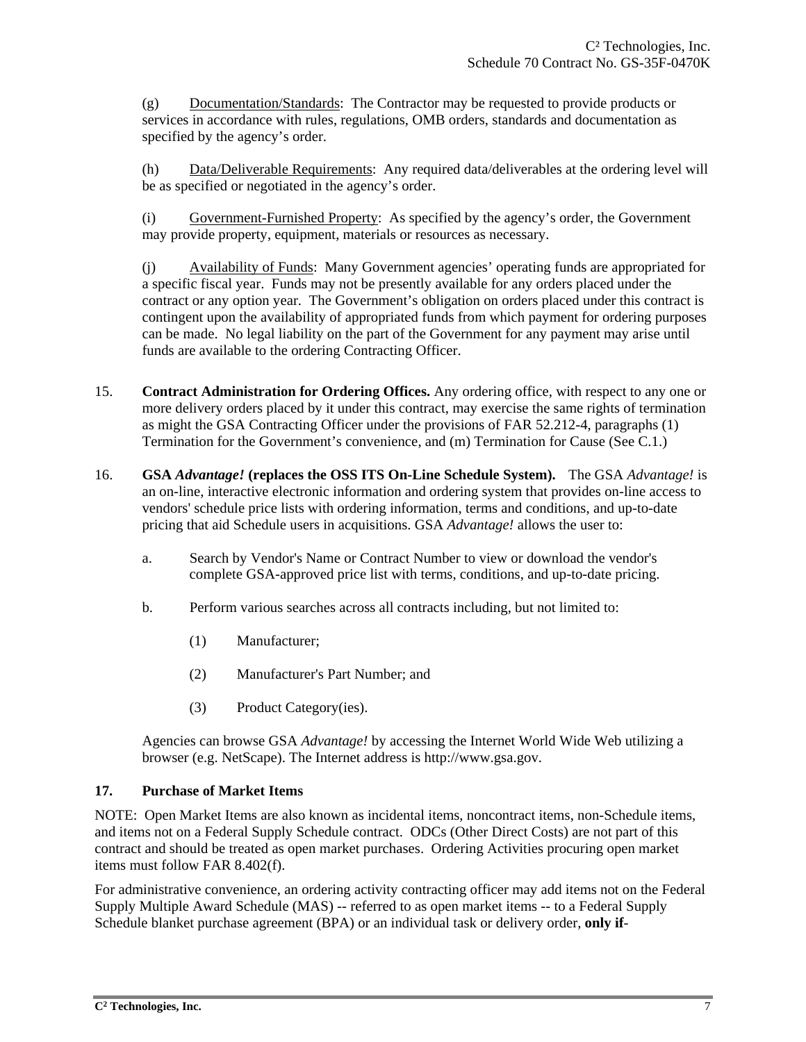(g) Documentation/Standards: The Contractor may be requested to provide products or services in accordance with rules, regulations, OMB orders, standards and documentation as specified by the agency's order.

(h) Data/Deliverable Requirements: Any required data/deliverables at the ordering level will be as specified or negotiated in the agency's order.

(i) Government-Furnished Property: As specified by the agency's order, the Government may provide property, equipment, materials or resources as necessary.

(j) Availability of Funds: Many Government agencies' operating funds are appropriated for a specific fiscal year. Funds may not be presently available for any orders placed under the contract or any option year. The Government's obligation on orders placed under this contract is contingent upon the availability of appropriated funds from which payment for ordering purposes can be made. No legal liability on the part of the Government for any payment may arise until funds are available to the ordering Contracting Officer.

- 15. **Contract Administration for Ordering Offices.** Any ordering office, with respect to any one or more delivery orders placed by it under this contract, may exercise the same rights of termination as might the GSA Contracting Officer under the provisions of FAR 52.212-4, paragraphs (1) Termination for the Government's convenience, and (m) Termination for Cause (See C.1.)
- 16. **GSA** *Advantage!* **(replaces the OSS ITS On-Line Schedule System).** The GSA *Advantage!* is an on-line, interactive electronic information and ordering system that provides on-line access to vendors' schedule price lists with ordering information, terms and conditions, and up-to-date pricing that aid Schedule users in acquisitions. GSA *Advantage!* allows the user to:
	- a. Search by Vendor's Name or Contract Number to view or download the vendor's complete GSA-approved price list with terms, conditions, and up-to-date pricing.
	- b. Perform various searches across all contracts including, but not limited to:
		- (1) Manufacturer;
		- (2) Manufacturer's Part Number; and
		- (3) Product Category(ies).

 Agencies can browse GSA *Advantage!* by accessing the Internet World Wide Web utilizing a browser (e.g. NetScape). The Internet address is http://www.gsa.gov.

#### **17. Purchase of Market Items**

NOTE: Open Market Items are also known as incidental items, noncontract items, non-Schedule items, and items not on a Federal Supply Schedule contract. ODCs (Other Direct Costs) are not part of this contract and should be treated as open market purchases. Ordering Activities procuring open market items must follow FAR 8.402(f).

For administrative convenience, an ordering activity contracting officer may add items not on the Federal Supply Multiple Award Schedule (MAS) -- referred to as open market items -- to a Federal Supply Schedule blanket purchase agreement (BPA) or an individual task or delivery order, **only if**-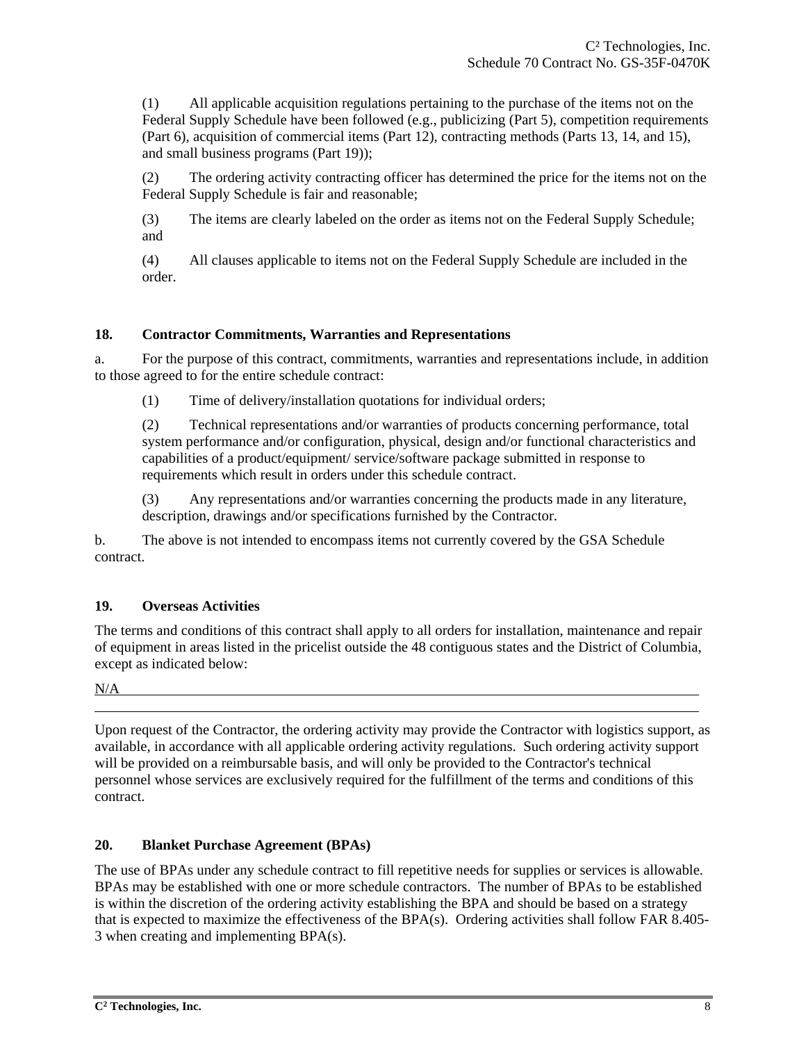(1) All applicable acquisition regulations pertaining to the purchase of the items not on the Federal Supply Schedule have been followed (e.g., publicizing (Part 5), competition requirements (Part 6), acquisition of commercial items (Part 12), contracting methods (Parts 13, 14, and 15), and small business programs (Part 19));

(2) The ordering activity contracting officer has determined the price for the items not on the Federal Supply Schedule is fair and reasonable;

(3) The items are clearly labeled on the order as items not on the Federal Supply Schedule; and

(4) All clauses applicable to items not on the Federal Supply Schedule are included in the order.

#### **18. Contractor Commitments, Warranties and Representations**

a. For the purpose of this contract, commitments, warranties and representations include, in addition to those agreed to for the entire schedule contract:

(1) Time of delivery/installation quotations for individual orders;

(2) Technical representations and/or warranties of products concerning performance, total system performance and/or configuration, physical, design and/or functional characteristics and capabilities of a product/equipment/ service/software package submitted in response to requirements which result in orders under this schedule contract.

(3) Any representations and/or warranties concerning the products made in any literature, description, drawings and/or specifications furnished by the Contractor.

b. The above is not intended to encompass items not currently covered by the GSA Schedule contract.

## **19. Overseas Activities**

The terms and conditions of this contract shall apply to all orders for installation, maintenance and repair of equipment in areas listed in the pricelist outside the 48 contiguous states and the District of Columbia, except as indicated below:

N/A

Upon request of the Contractor, the ordering activity may provide the Contractor with logistics support, as available, in accordance with all applicable ordering activity regulations. Such ordering activity support will be provided on a reimbursable basis, and will only be provided to the Contractor's technical personnel whose services are exclusively required for the fulfillment of the terms and conditions of this contract.

## **20. Blanket Purchase Agreement (BPAs)**

The use of BPAs under any schedule contract to fill repetitive needs for supplies or services is allowable. BPAs may be established with one or more schedule contractors. The number of BPAs to be established is within the discretion of the ordering activity establishing the BPA and should be based on a strategy that is expected to maximize the effectiveness of the BPA(s). Ordering activities shall follow FAR 8.405- 3 when creating and implementing BPA(s).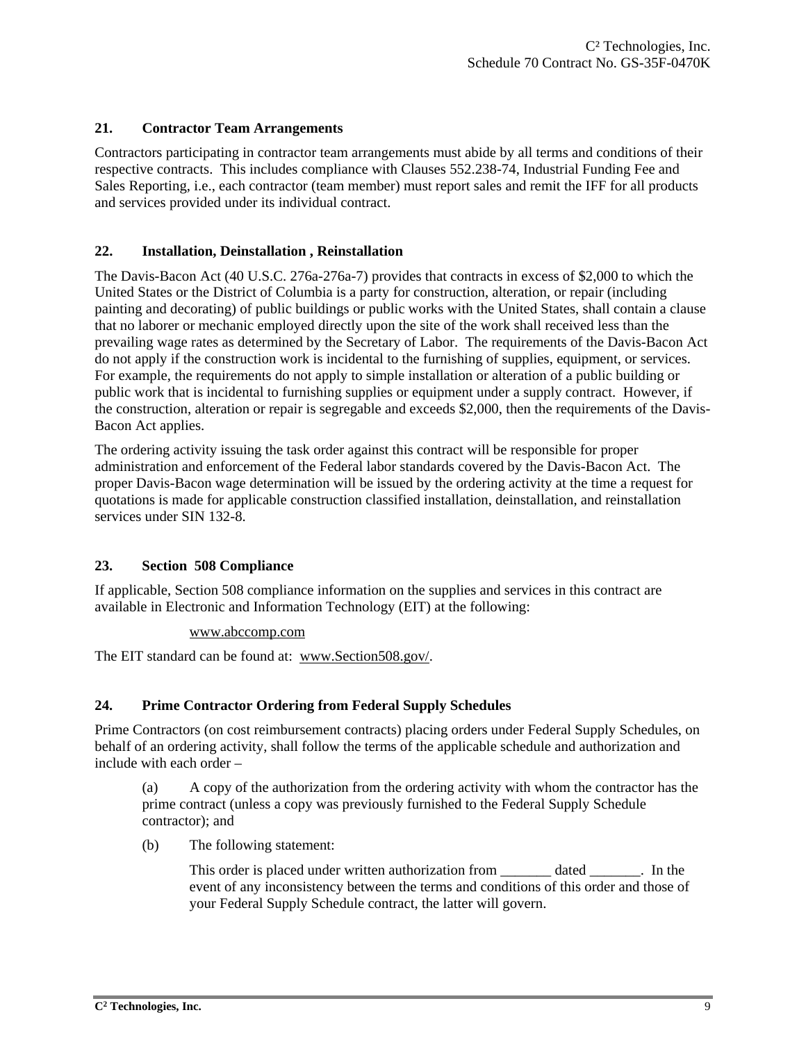#### **21. Contractor Team Arrangements**

Contractors participating in contractor team arrangements must abide by all terms and conditions of their respective contracts. This includes compliance with Clauses 552.238-74, Industrial Funding Fee and Sales Reporting, i.e., each contractor (team member) must report sales and remit the IFF for all products and services provided under its individual contract.

#### **22. Installation, Deinstallation , Reinstallation**

The Davis-Bacon Act (40 U.S.C. 276a-276a-7) provides that contracts in excess of \$2,000 to which the United States or the District of Columbia is a party for construction, alteration, or repair (including painting and decorating) of public buildings or public works with the United States, shall contain a clause that no laborer or mechanic employed directly upon the site of the work shall received less than the prevailing wage rates as determined by the Secretary of Labor. The requirements of the Davis-Bacon Act do not apply if the construction work is incidental to the furnishing of supplies, equipment, or services. For example, the requirements do not apply to simple installation or alteration of a public building or public work that is incidental to furnishing supplies or equipment under a supply contract. However, if the construction, alteration or repair is segregable and exceeds \$2,000, then the requirements of the Davis-Bacon Act applies.

The ordering activity issuing the task order against this contract will be responsible for proper administration and enforcement of the Federal labor standards covered by the Davis-Bacon Act. The proper Davis-Bacon wage determination will be issued by the ordering activity at the time a request for quotations is made for applicable construction classified installation, deinstallation, and reinstallation services under SIN 132-8.

## **23. Section 508 Compliance**

If applicable, Section 508 compliance information on the supplies and services in this contract are available in Electronic and Information Technology (EIT) at the following:

#### www.abccomp.com

The EIT standard can be found at: www.Section508.gov/.

## **24. Prime Contractor Ordering from Federal Supply Schedules**

Prime Contractors (on cost reimbursement contracts) placing orders under Federal Supply Schedules, on behalf of an ordering activity, shall follow the terms of the applicable schedule and authorization and include with each order –

(a) A copy of the authorization from the ordering activity with whom the contractor has the prime contract (unless a copy was previously furnished to the Federal Supply Schedule contractor); and

(b) The following statement:

This order is placed under written authorization from dated The last in the event of any inconsistency between the terms and conditions of this order and those of your Federal Supply Schedule contract, the latter will govern.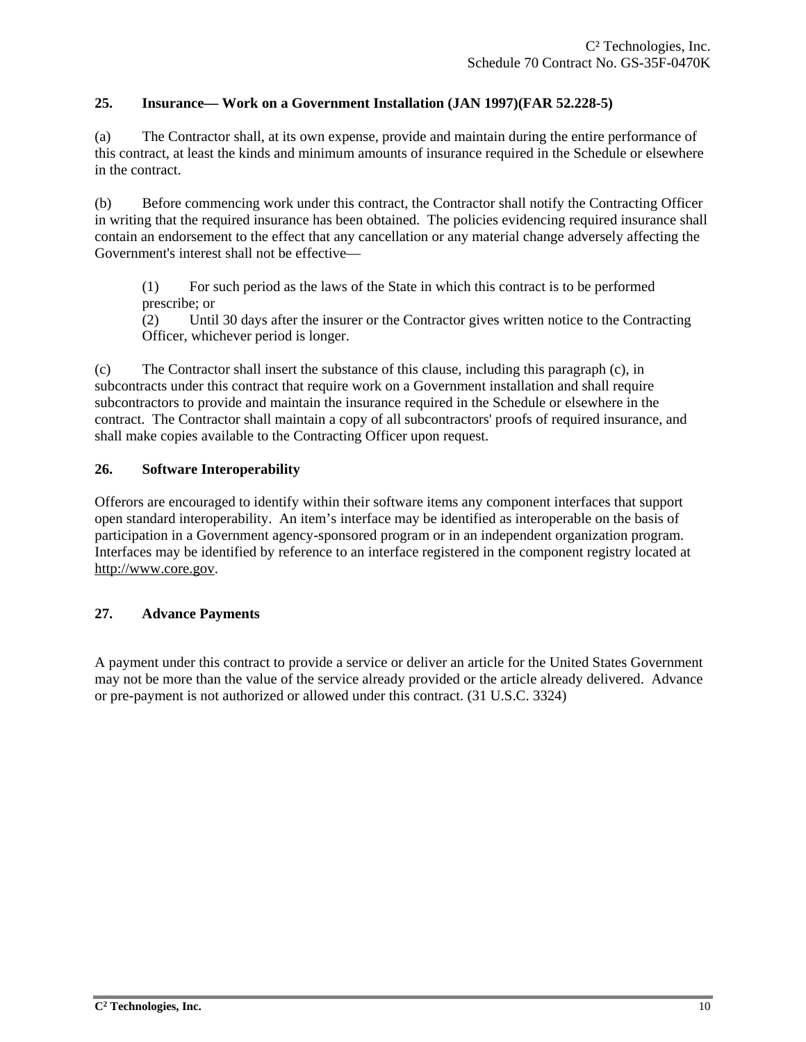#### **25. Insurance— Work on a Government Installation (JAN 1997)(FAR 52.228-5)**

(a) The Contractor shall, at its own expense, provide and maintain during the entire performance of this contract, at least the kinds and minimum amounts of insurance required in the Schedule or elsewhere in the contract.

(b) Before commencing work under this contract, the Contractor shall notify the Contracting Officer in writing that the required insurance has been obtained. The policies evidencing required insurance shall contain an endorsement to the effect that any cancellation or any material change adversely affecting the Government's interest shall not be effective—

(1) For such period as the laws of the State in which this contract is to be performed prescribe; or

(2) Until 30 days after the insurer or the Contractor gives written notice to the Contracting Officer, whichever period is longer.

(c) The Contractor shall insert the substance of this clause, including this paragraph (c), in subcontracts under this contract that require work on a Government installation and shall require subcontractors to provide and maintain the insurance required in the Schedule or elsewhere in the contract. The Contractor shall maintain a copy of all subcontractors' proofs of required insurance, and shall make copies available to the Contracting Officer upon request.

#### **26. Software Interoperability**

Offerors are encouraged to identify within their software items any component interfaces that support open standard interoperability. An item's interface may be identified as interoperable on the basis of participation in a Government agency-sponsored program or in an independent organization program. Interfaces may be identified by reference to an interface registered in the component registry located at http://www.core.gov.

## **27. Advance Payments**

A payment under this contract to provide a service or deliver an article for the United States Government may not be more than the value of the service already provided or the article already delivered. Advance or pre-payment is not authorized or allowed under this contract. (31 U.S.C. 3324)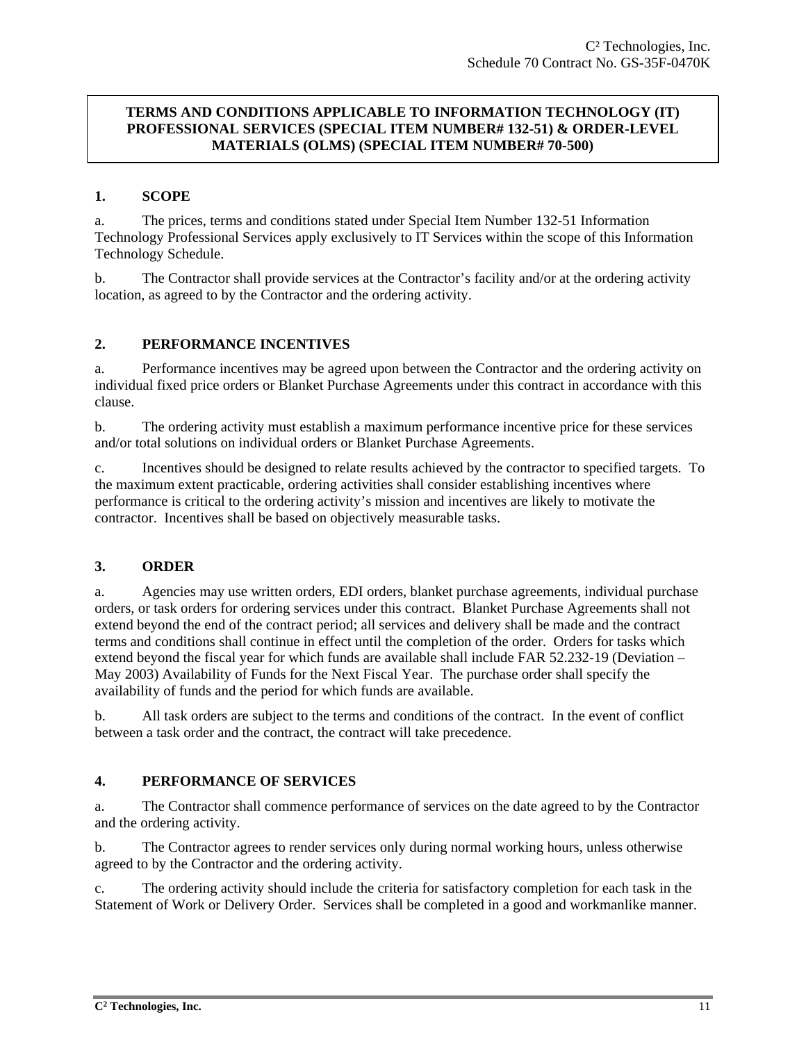#### **TERMS AND CONDITIONS APPLICABLE TO INFORMATION TECHNOLOGY (IT) PROFESSIONAL SERVICES (SPECIAL ITEM NUMBER# 132-51) & ORDER-LEVEL MATERIALS (OLMS) (SPECIAL ITEM NUMBER# 70-500)**

#### **1. SCOPE**

a. The prices, terms and conditions stated under Special Item Number 132-51 Information Technology Professional Services apply exclusively to IT Services within the scope of this Information Technology Schedule.

b. The Contractor shall provide services at the Contractor's facility and/or at the ordering activity location, as agreed to by the Contractor and the ordering activity.

#### **2. PERFORMANCE INCENTIVES**

a. Performance incentives may be agreed upon between the Contractor and the ordering activity on individual fixed price orders or Blanket Purchase Agreements under this contract in accordance with this clause.

b. The ordering activity must establish a maximum performance incentive price for these services and/or total solutions on individual orders or Blanket Purchase Agreements.

c. Incentives should be designed to relate results achieved by the contractor to specified targets. To the maximum extent practicable, ordering activities shall consider establishing incentives where performance is critical to the ordering activity's mission and incentives are likely to motivate the contractor. Incentives shall be based on objectively measurable tasks.

## **3. ORDER**

a. Agencies may use written orders, EDI orders, blanket purchase agreements, individual purchase orders, or task orders for ordering services under this contract. Blanket Purchase Agreements shall not extend beyond the end of the contract period; all services and delivery shall be made and the contract terms and conditions shall continue in effect until the completion of the order. Orders for tasks which extend beyond the fiscal year for which funds are available shall include FAR 52.232-19 (Deviation – May 2003) Availability of Funds for the Next Fiscal Year. The purchase order shall specify the availability of funds and the period for which funds are available.

b. All task orders are subject to the terms and conditions of the contract. In the event of conflict between a task order and the contract, the contract will take precedence.

## **4. PERFORMANCE OF SERVICES**

a. The Contractor shall commence performance of services on the date agreed to by the Contractor and the ordering activity.

b. The Contractor agrees to render services only during normal working hours, unless otherwise agreed to by the Contractor and the ordering activity.

c. The ordering activity should include the criteria for satisfactory completion for each task in the Statement of Work or Delivery Order. Services shall be completed in a good and workmanlike manner.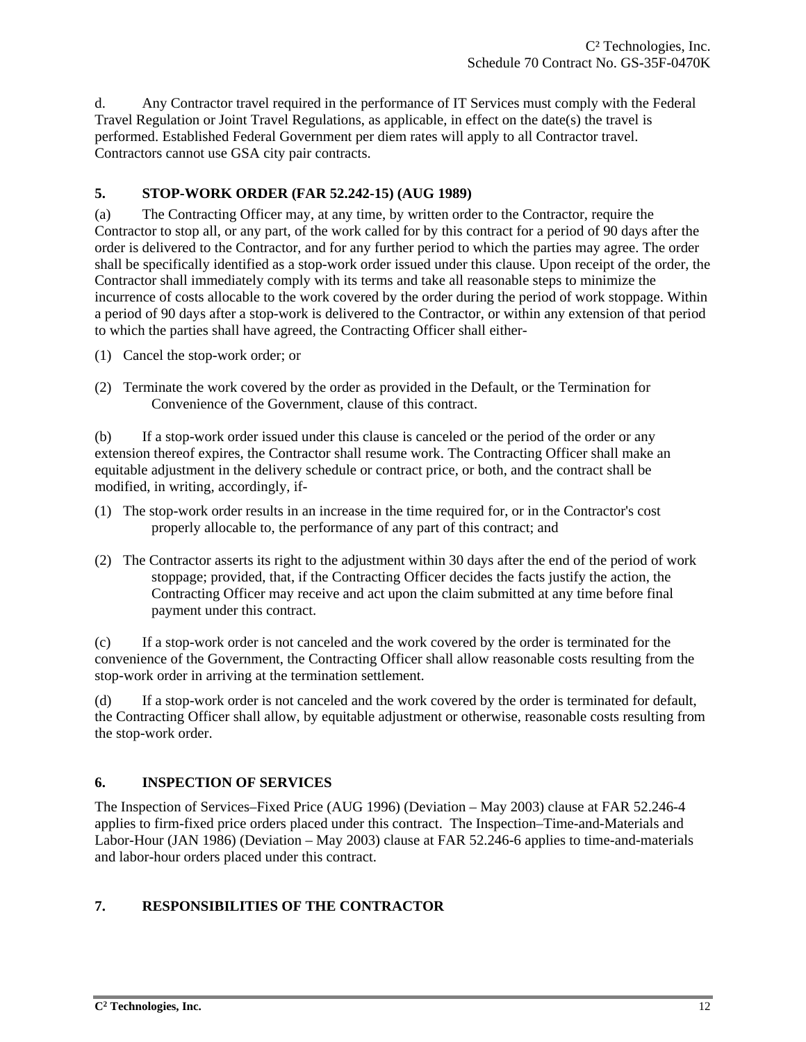d. Any Contractor travel required in the performance of IT Services must comply with the Federal Travel Regulation or Joint Travel Regulations, as applicable, in effect on the date(s) the travel is performed. Established Federal Government per diem rates will apply to all Contractor travel. Contractors cannot use GSA city pair contracts.

## **5. STOP-WORK ORDER (FAR 52.242-15) (AUG 1989)**

(a) The Contracting Officer may, at any time, by written order to the Contractor, require the Contractor to stop all, or any part, of the work called for by this contract for a period of 90 days after the order is delivered to the Contractor, and for any further period to which the parties may agree. The order shall be specifically identified as a stop-work order issued under this clause. Upon receipt of the order, the Contractor shall immediately comply with its terms and take all reasonable steps to minimize the incurrence of costs allocable to the work covered by the order during the period of work stoppage. Within a period of 90 days after a stop-work is delivered to the Contractor, or within any extension of that period to which the parties shall have agreed, the Contracting Officer shall either-

- (1) Cancel the stop-work order; or
- (2) Terminate the work covered by the order as provided in the Default, or the Termination for Convenience of the Government, clause of this contract.

(b) If a stop-work order issued under this clause is canceled or the period of the order or any extension thereof expires, the Contractor shall resume work. The Contracting Officer shall make an equitable adjustment in the delivery schedule or contract price, or both, and the contract shall be modified, in writing, accordingly, if-

- (1) The stop-work order results in an increase in the time required for, or in the Contractor's cost properly allocable to, the performance of any part of this contract; and
- (2) The Contractor asserts its right to the adjustment within 30 days after the end of the period of work stoppage; provided, that, if the Contracting Officer decides the facts justify the action, the Contracting Officer may receive and act upon the claim submitted at any time before final payment under this contract.

(c) If a stop-work order is not canceled and the work covered by the order is terminated for the convenience of the Government, the Contracting Officer shall allow reasonable costs resulting from the stop-work order in arriving at the termination settlement.

(d) If a stop-work order is not canceled and the work covered by the order is terminated for default, the Contracting Officer shall allow, by equitable adjustment or otherwise, reasonable costs resulting from the stop-work order.

## **6. INSPECTION OF SERVICES**

The Inspection of Services–Fixed Price (AUG 1996) (Deviation – May 2003) clause at FAR 52.246-4 applies to firm-fixed price orders placed under this contract. The Inspection–Time-and-Materials and Labor-Hour (JAN 1986) (Deviation – May 2003) clause at FAR 52.246-6 applies to time-and-materials and labor-hour orders placed under this contract.

## **7. RESPONSIBILITIES OF THE CONTRACTOR**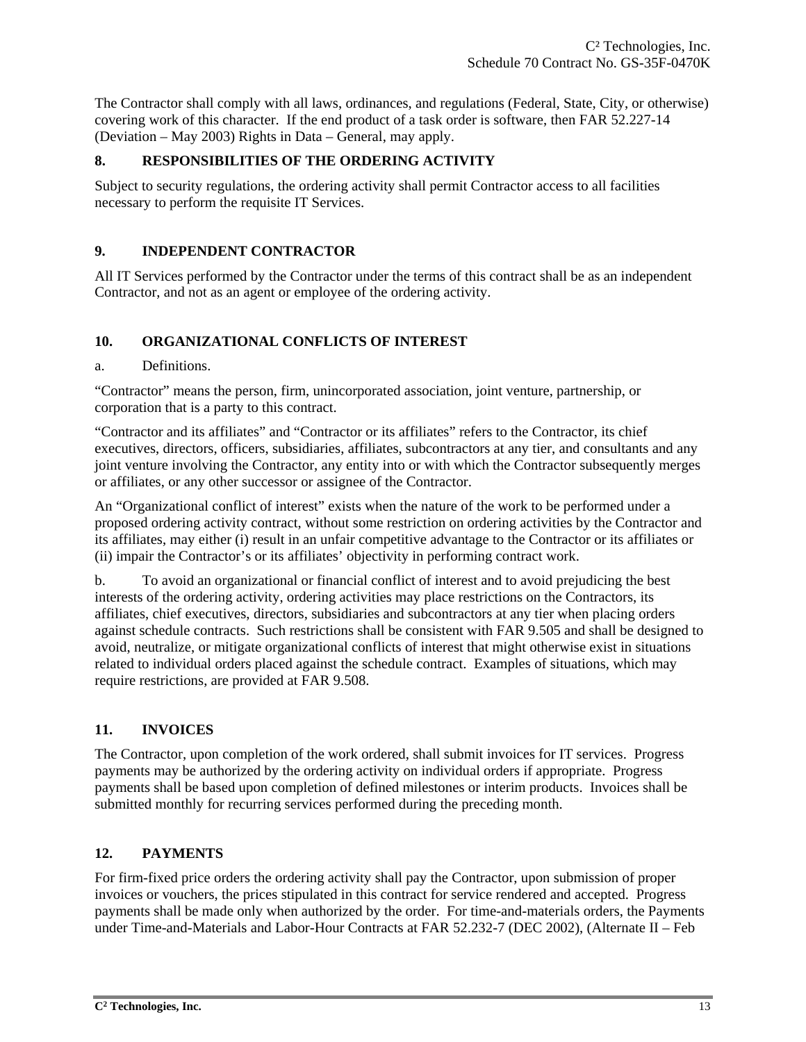The Contractor shall comply with all laws, ordinances, and regulations (Federal, State, City, or otherwise) covering work of this character. If the end product of a task order is software, then FAR 52.227-14 (Deviation – May 2003) Rights in Data – General, may apply.

## **8. RESPONSIBILITIES OF THE ORDERING ACTIVITY**

Subject to security regulations, the ordering activity shall permit Contractor access to all facilities necessary to perform the requisite IT Services.

## **9. INDEPENDENT CONTRACTOR**

All IT Services performed by the Contractor under the terms of this contract shall be as an independent Contractor, and not as an agent or employee of the ordering activity.

## **10. ORGANIZATIONAL CONFLICTS OF INTEREST**

#### a. Definitions.

"Contractor" means the person, firm, unincorporated association, joint venture, partnership, or corporation that is a party to this contract.

"Contractor and its affiliates" and "Contractor or its affiliates" refers to the Contractor, its chief executives, directors, officers, subsidiaries, affiliates, subcontractors at any tier, and consultants and any joint venture involving the Contractor, any entity into or with which the Contractor subsequently merges or affiliates, or any other successor or assignee of the Contractor.

An "Organizational conflict of interest" exists when the nature of the work to be performed under a proposed ordering activity contract, without some restriction on ordering activities by the Contractor and its affiliates, may either (i) result in an unfair competitive advantage to the Contractor or its affiliates or (ii) impair the Contractor's or its affiliates' objectivity in performing contract work.

b. To avoid an organizational or financial conflict of interest and to avoid prejudicing the best interests of the ordering activity, ordering activities may place restrictions on the Contractors, its affiliates, chief executives, directors, subsidiaries and subcontractors at any tier when placing orders against schedule contracts. Such restrictions shall be consistent with FAR 9.505 and shall be designed to avoid, neutralize, or mitigate organizational conflicts of interest that might otherwise exist in situations related to individual orders placed against the schedule contract. Examples of situations, which may require restrictions, are provided at FAR 9.508.

## **11. INVOICES**

The Contractor, upon completion of the work ordered, shall submit invoices for IT services. Progress payments may be authorized by the ordering activity on individual orders if appropriate. Progress payments shall be based upon completion of defined milestones or interim products. Invoices shall be submitted monthly for recurring services performed during the preceding month.

## **12. PAYMENTS**

For firm-fixed price orders the ordering activity shall pay the Contractor, upon submission of proper invoices or vouchers, the prices stipulated in this contract for service rendered and accepted. Progress payments shall be made only when authorized by the order. For time-and-materials orders, the Payments under Time-and-Materials and Labor-Hour Contracts at FAR 52.232-7 (DEC 2002), (Alternate II – Feb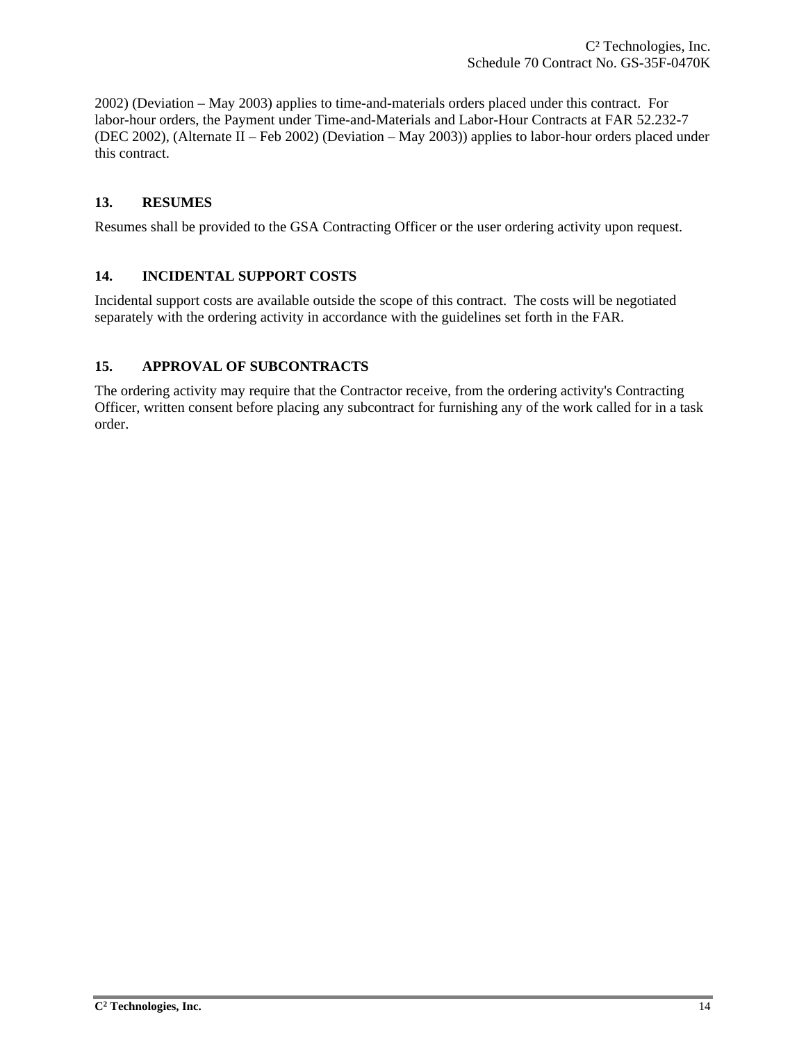2002) (Deviation – May 2003) applies to time-and-materials orders placed under this contract. For labor-hour orders, the Payment under Time-and-Materials and Labor-Hour Contracts at FAR 52.232-7 (DEC 2002), (Alternate II – Feb 2002) (Deviation – May 2003)) applies to labor-hour orders placed under this contract.

## **13. RESUMES**

Resumes shall be provided to the GSA Contracting Officer or the user ordering activity upon request.

## **14. INCIDENTAL SUPPORT COSTS**

Incidental support costs are available outside the scope of this contract. The costs will be negotiated separately with the ordering activity in accordance with the guidelines set forth in the FAR.

## **15. APPROVAL OF SUBCONTRACTS**

The ordering activity may require that the Contractor receive, from the ordering activity's Contracting Officer, written consent before placing any subcontract for furnishing any of the work called for in a task order.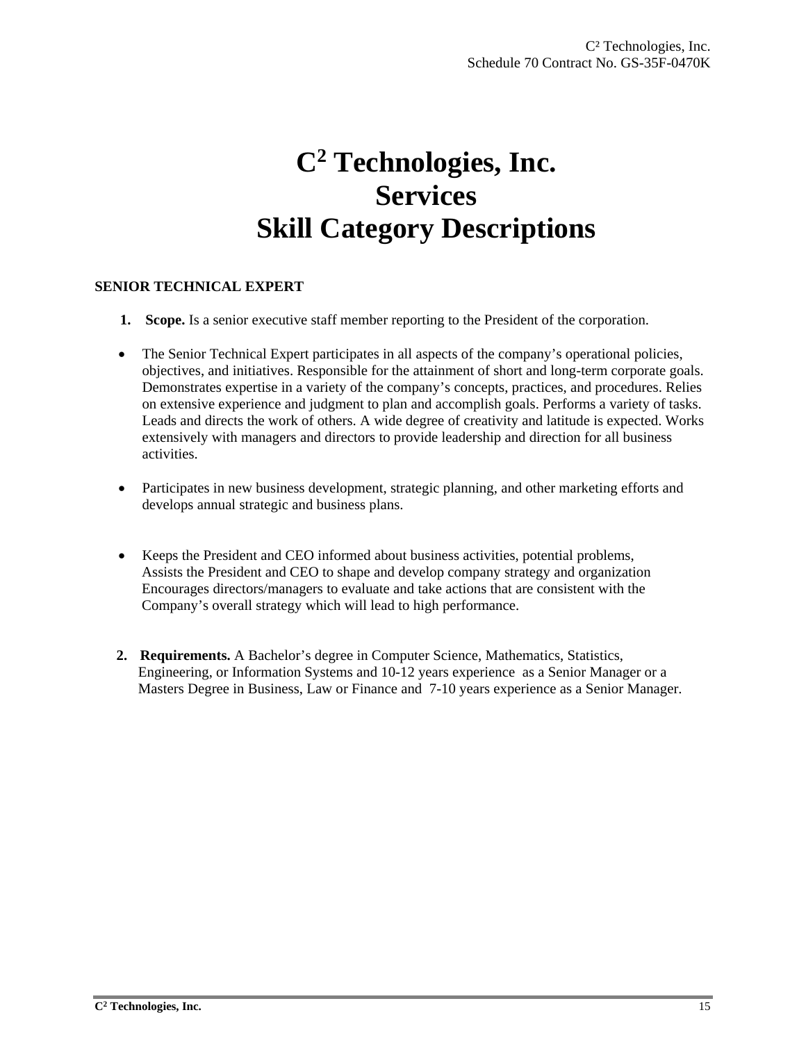# **C2 Technologies, Inc. Services Skill Category Descriptions**

## **SENIOR TECHNICAL EXPERT**

- **1.** Scope. Is a senior executive staff member reporting to the President of the corporation.
- The Senior Technical Expert participates in all aspects of the company's operational policies, objectives, and initiatives. Responsible for the attainment of short and long-term corporate goals. Demonstrates expertise in a variety of the company's concepts, practices, and procedures. Relies on extensive experience and judgment to plan and accomplish goals. Performs a variety of tasks. Leads and directs the work of others. A wide degree of creativity and latitude is expected. Works extensively with managers and directors to provide leadership and direction for all business activities.
- Participates in new business development, strategic planning, and other marketing efforts and develops annual strategic and business plans.
- Keeps the President and CEO informed about business activities, potential problems, Assists the President and CEO to shape and develop company strategy and organization Encourages directors/managers to evaluate and take actions that are consistent with the Company's overall strategy which will lead to high performance.
- **2. Requirements.** A Bachelor's degree in Computer Science, Mathematics, Statistics, Engineering, or Information Systems and 10-12 years experience as a Senior Manager or a Masters Degree in Business, Law or Finance and 7-10 years experience as a Senior Manager.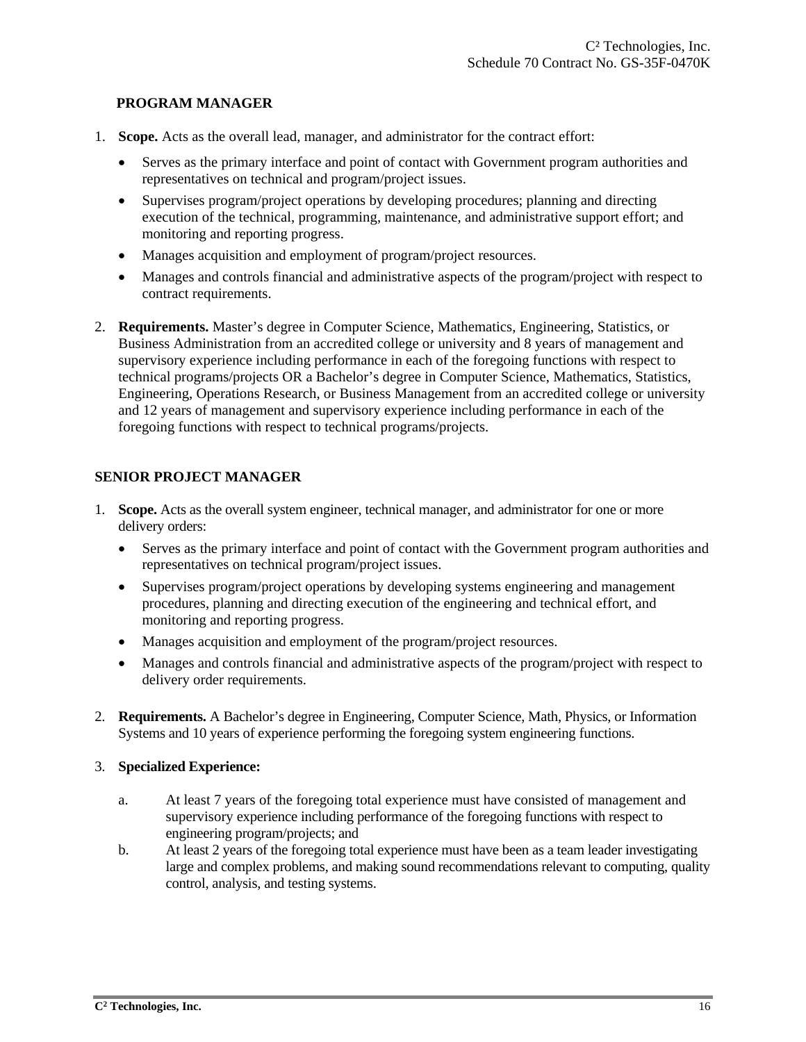#### **PROGRAM MANAGER**

- 1. **Scope.** Acts as the overall lead, manager, and administrator for the contract effort:
	- Serves as the primary interface and point of contact with Government program authorities and representatives on technical and program/project issues.
	- Supervises program/project operations by developing procedures; planning and directing execution of the technical, programming, maintenance, and administrative support effort; and monitoring and reporting progress.
	- Manages acquisition and employment of program/project resources.
	- Manages and controls financial and administrative aspects of the program/project with respect to contract requirements.
- 2. **Requirements.** Master's degree in Computer Science, Mathematics, Engineering, Statistics, or Business Administration from an accredited college or university and 8 years of management and supervisory experience including performance in each of the foregoing functions with respect to technical programs/projects OR a Bachelor's degree in Computer Science, Mathematics, Statistics, Engineering, Operations Research, or Business Management from an accredited college or university and 12 years of management and supervisory experience including performance in each of the foregoing functions with respect to technical programs/projects.

## **SENIOR PROJECT MANAGER**

- 1. **Scope.** Acts as the overall system engineer, technical manager, and administrator for one or more delivery orders:
	- Serves as the primary interface and point of contact with the Government program authorities and representatives on technical program/project issues.
	- Supervises program/project operations by developing systems engineering and management procedures, planning and directing execution of the engineering and technical effort, and monitoring and reporting progress.
	- Manages acquisition and employment of the program/project resources.
	- Manages and controls financial and administrative aspects of the program/project with respect to delivery order requirements.
- 2. **Requirements.** A Bachelor's degree in Engineering, Computer Science, Math, Physics, or Information Systems and 10 years of experience performing the foregoing system engineering functions.

#### 3. **Specialized Experience:**

- a. At least 7 years of the foregoing total experience must have consisted of management and supervisory experience including performance of the foregoing functions with respect to engineering program/projects; and
- b. At least 2 years of the foregoing total experience must have been as a team leader investigating large and complex problems, and making sound recommendations relevant to computing, quality control, analysis, and testing systems.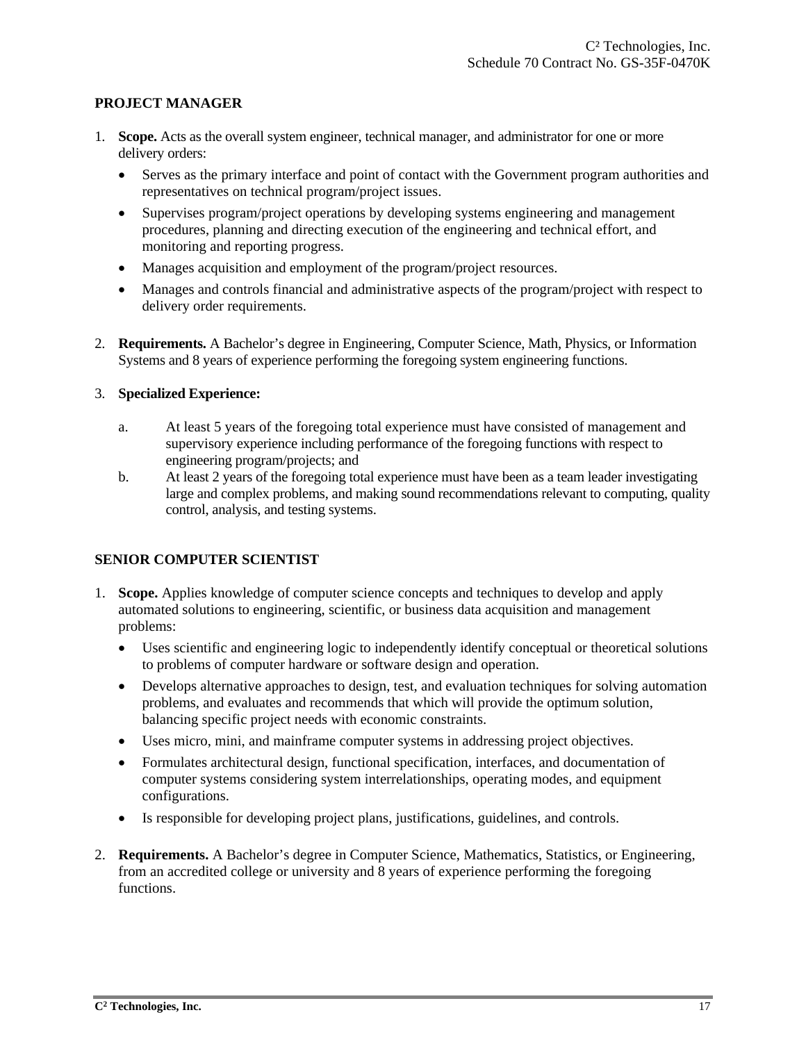#### **PROJECT MANAGER**

- 1. **Scope.** Acts as the overall system engineer, technical manager, and administrator for one or more delivery orders:
	- Serves as the primary interface and point of contact with the Government program authorities and representatives on technical program/project issues.
	- Supervises program/project operations by developing systems engineering and management procedures, planning and directing execution of the engineering and technical effort, and monitoring and reporting progress.
	- Manages acquisition and employment of the program/project resources.
	- Manages and controls financial and administrative aspects of the program/project with respect to delivery order requirements.
- 2. **Requirements.** A Bachelor's degree in Engineering, Computer Science, Math, Physics, or Information Systems and 8 years of experience performing the foregoing system engineering functions.

## 3. **Specialized Experience:**

- a. At least 5 years of the foregoing total experience must have consisted of management and supervisory experience including performance of the foregoing functions with respect to engineering program/projects; and
- b. At least 2 years of the foregoing total experience must have been as a team leader investigating large and complex problems, and making sound recommendations relevant to computing, quality control, analysis, and testing systems.

## **SENIOR COMPUTER SCIENTIST**

- 1. **Scope.** Applies knowledge of computer science concepts and techniques to develop and apply automated solutions to engineering, scientific, or business data acquisition and management problems:
	- Uses scientific and engineering logic to independently identify conceptual or theoretical solutions to problems of computer hardware or software design and operation.
	- Develops alternative approaches to design, test, and evaluation techniques for solving automation problems, and evaluates and recommends that which will provide the optimum solution, balancing specific project needs with economic constraints.
	- Uses micro, mini, and mainframe computer systems in addressing project objectives.
	- Formulates architectural design, functional specification, interfaces, and documentation of computer systems considering system interrelationships, operating modes, and equipment configurations.
	- Is responsible for developing project plans, justifications, guidelines, and controls.
- 2. **Requirements.** A Bachelor's degree in Computer Science, Mathematics, Statistics, or Engineering, from an accredited college or university and  $\overline{8}$  years of experience performing the foregoing functions.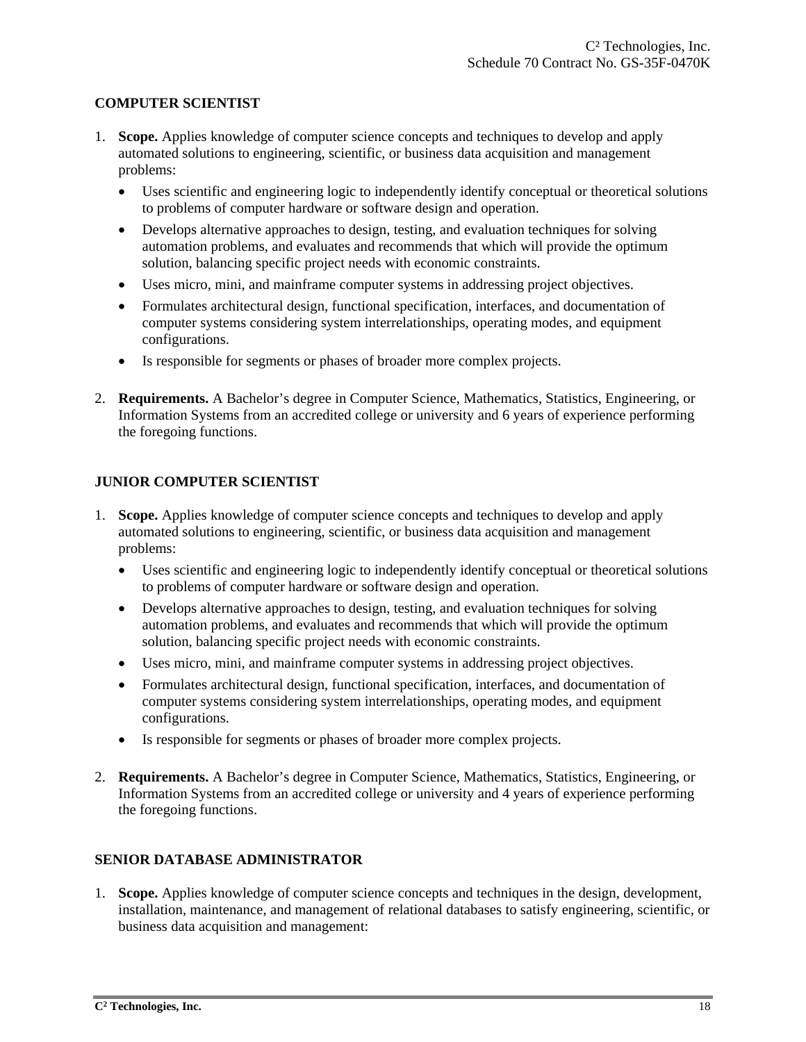## **COMPUTER SCIENTIST**

- 1. **Scope.** Applies knowledge of computer science concepts and techniques to develop and apply automated solutions to engineering, scientific, or business data acquisition and management problems:
	- Uses scientific and engineering logic to independently identify conceptual or theoretical solutions to problems of computer hardware or software design and operation.
	- Develops alternative approaches to design, testing, and evaluation techniques for solving automation problems, and evaluates and recommends that which will provide the optimum solution, balancing specific project needs with economic constraints.
	- Uses micro, mini, and mainframe computer systems in addressing project objectives.
	- Formulates architectural design, functional specification, interfaces, and documentation of computer systems considering system interrelationships, operating modes, and equipment configurations.
	- Is responsible for segments or phases of broader more complex projects.
- 2. **Requirements.** A Bachelor's degree in Computer Science, Mathematics, Statistics, Engineering, or Information Systems from an accredited college or university and 6 years of experience performing the foregoing functions.

## **JUNIOR COMPUTER SCIENTIST**

- 1. **Scope.** Applies knowledge of computer science concepts and techniques to develop and apply automated solutions to engineering, scientific, or business data acquisition and management problems:
	- Uses scientific and engineering logic to independently identify conceptual or theoretical solutions to problems of computer hardware or software design and operation.
	- Develops alternative approaches to design, testing, and evaluation techniques for solving automation problems, and evaluates and recommends that which will provide the optimum solution, balancing specific project needs with economic constraints.
	- Uses micro, mini, and mainframe computer systems in addressing project objectives.
	- Formulates architectural design, functional specification, interfaces, and documentation of computer systems considering system interrelationships, operating modes, and equipment configurations.
	- Is responsible for segments or phases of broader more complex projects.
- 2. **Requirements.** A Bachelor's degree in Computer Science, Mathematics, Statistics, Engineering, or Information Systems from an accredited college or university and 4 years of experience performing the foregoing functions.

## **SENIOR DATABASE ADMINISTRATOR**

1. **Scope.** Applies knowledge of computer science concepts and techniques in the design, development, installation, maintenance, and management of relational databases to satisfy engineering, scientific, or business data acquisition and management: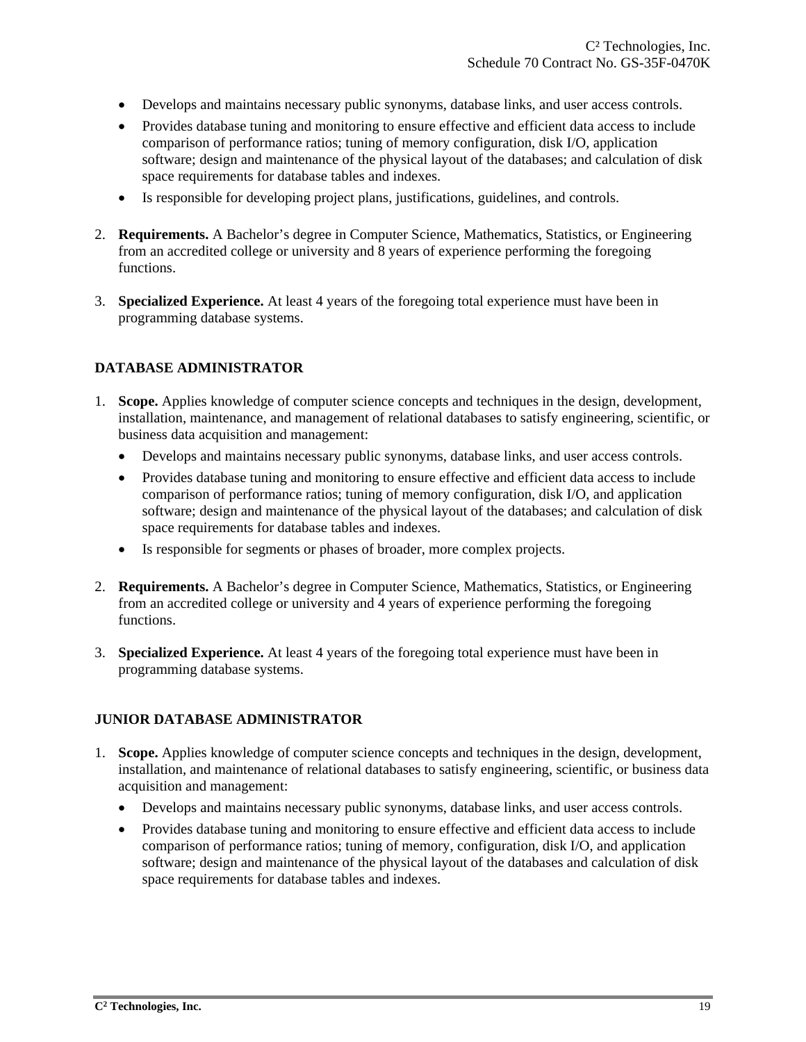- Develops and maintains necessary public synonyms, database links, and user access controls.
- Provides database tuning and monitoring to ensure effective and efficient data access to include comparison of performance ratios; tuning of memory configuration, disk I/O, application software; design and maintenance of the physical layout of the databases; and calculation of disk space requirements for database tables and indexes.
- Is responsible for developing project plans, justifications, guidelines, and controls.
- 2. **Requirements.** A Bachelor's degree in Computer Science, Mathematics, Statistics, or Engineering from an accredited college or university and 8 years of experience performing the foregoing functions.
- 3. **Specialized Experience.** At least 4 years of the foregoing total experience must have been in programming database systems.

## **DATABASE ADMINISTRATOR**

- 1. **Scope.** Applies knowledge of computer science concepts and techniques in the design, development, installation, maintenance, and management of relational databases to satisfy engineering, scientific, or business data acquisition and management:
	- Develops and maintains necessary public synonyms, database links, and user access controls.
	- Provides database tuning and monitoring to ensure effective and efficient data access to include comparison of performance ratios; tuning of memory configuration, disk I/O, and application software; design and maintenance of the physical layout of the databases; and calculation of disk space requirements for database tables and indexes.
	- Is responsible for segments or phases of broader, more complex projects.
- 2. **Requirements.** A Bachelor's degree in Computer Science, Mathematics, Statistics, or Engineering from an accredited college or university and 4 years of experience performing the foregoing functions.
- 3. **Specialized Experience.** At least 4 years of the foregoing total experience must have been in programming database systems.

## **JUNIOR DATABASE ADMINISTRATOR**

- 1. **Scope.** Applies knowledge of computer science concepts and techniques in the design, development, installation, and maintenance of relational databases to satisfy engineering, scientific, or business data acquisition and management:
	- Develops and maintains necessary public synonyms, database links, and user access controls.
	- Provides database tuning and monitoring to ensure effective and efficient data access to include comparison of performance ratios; tuning of memory, configuration, disk I/O, and application software; design and maintenance of the physical layout of the databases and calculation of disk space requirements for database tables and indexes.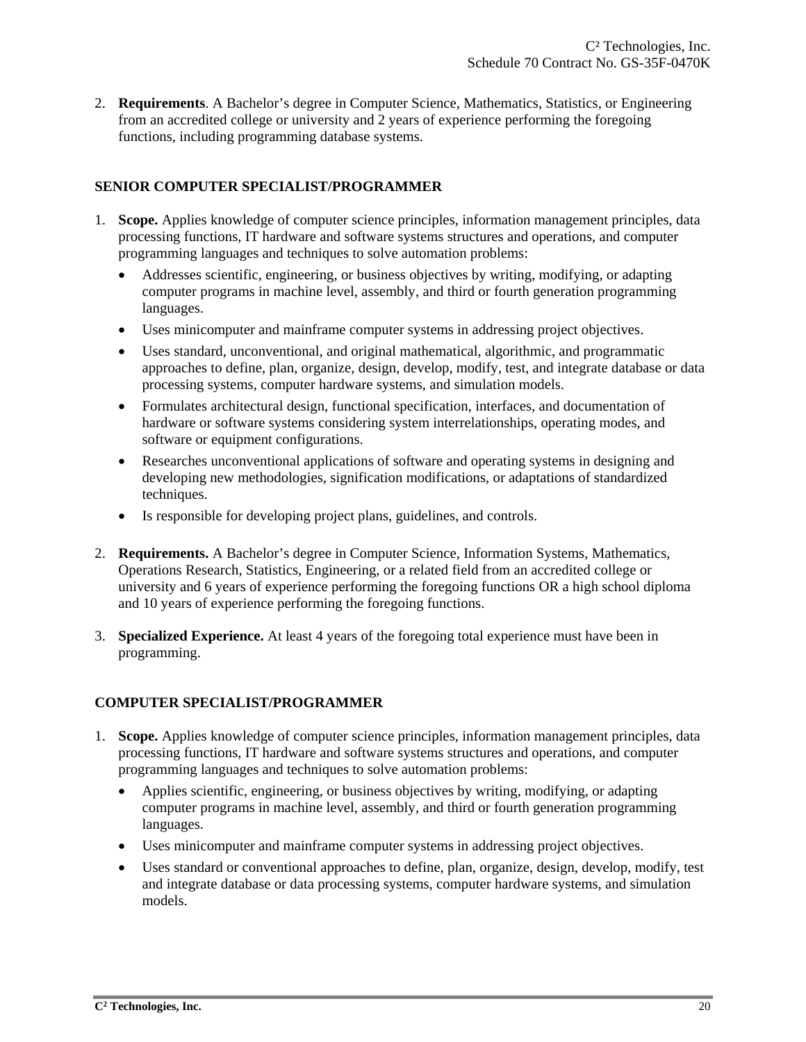2. **Requirements**. A Bachelor's degree in Computer Science, Mathematics, Statistics, or Engineering from an accredited college or university and 2 years of experience performing the foregoing functions, including programming database systems.

## **SENIOR COMPUTER SPECIALIST/PROGRAMMER**

- 1. **Scope.** Applies knowledge of computer science principles, information management principles, data processing functions, IT hardware and software systems structures and operations, and computer programming languages and techniques to solve automation problems:
	- Addresses scientific, engineering, or business objectives by writing, modifying, or adapting computer programs in machine level, assembly, and third or fourth generation programming languages.
	- Uses minicomputer and mainframe computer systems in addressing project objectives.
	- Uses standard, unconventional, and original mathematical, algorithmic, and programmatic approaches to define, plan, organize, design, develop, modify, test, and integrate database or data processing systems, computer hardware systems, and simulation models.
	- Formulates architectural design, functional specification, interfaces, and documentation of hardware or software systems considering system interrelationships, operating modes, and software or equipment configurations.
	- Researches unconventional applications of software and operating systems in designing and developing new methodologies, signification modifications, or adaptations of standardized techniques.
	- Is responsible for developing project plans, guidelines, and controls.
- 2. **Requirements.** A Bachelor's degree in Computer Science, Information Systems, Mathematics, Operations Research, Statistics, Engineering, or a related field from an accredited college or university and 6 years of experience performing the foregoing functions OR a high school diploma and 10 years of experience performing the foregoing functions.
- 3. **Specialized Experience.** At least 4 years of the foregoing total experience must have been in programming.

## **COMPUTER SPECIALIST/PROGRAMMER**

- 1. **Scope.** Applies knowledge of computer science principles, information management principles, data processing functions, IT hardware and software systems structures and operations, and computer programming languages and techniques to solve automation problems:
	- Applies scientific, engineering, or business objectives by writing, modifying, or adapting computer programs in machine level, assembly, and third or fourth generation programming languages.
	- Uses minicomputer and mainframe computer systems in addressing project objectives.
	- Uses standard or conventional approaches to define, plan, organize, design, develop, modify, test and integrate database or data processing systems, computer hardware systems, and simulation models.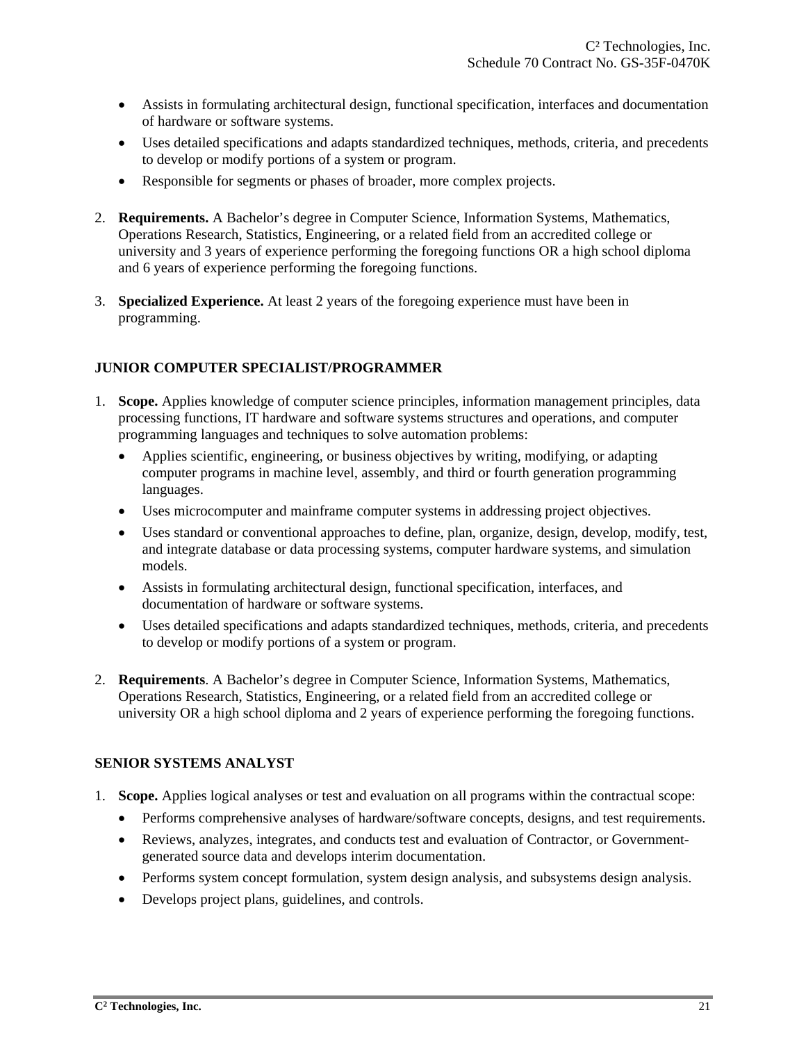- Assists in formulating architectural design, functional specification, interfaces and documentation of hardware or software systems.
- Uses detailed specifications and adapts standardized techniques, methods, criteria, and precedents to develop or modify portions of a system or program.
- Responsible for segments or phases of broader, more complex projects.
- 2. **Requirements.** A Bachelor's degree in Computer Science, Information Systems, Mathematics, Operations Research, Statistics, Engineering, or a related field from an accredited college or university and 3 years of experience performing the foregoing functions OR a high school diploma and 6 years of experience performing the foregoing functions.
- 3. **Specialized Experience.** At least 2 years of the foregoing experience must have been in programming.

## **JUNIOR COMPUTER SPECIALIST/PROGRAMMER**

- 1. **Scope.** Applies knowledge of computer science principles, information management principles, data processing functions, IT hardware and software systems structures and operations, and computer programming languages and techniques to solve automation problems:
	- Applies scientific, engineering, or business objectives by writing, modifying, or adapting computer programs in machine level, assembly, and third or fourth generation programming languages.
	- Uses microcomputer and mainframe computer systems in addressing project objectives.
	- Uses standard or conventional approaches to define, plan, organize, design, develop, modify, test, and integrate database or data processing systems, computer hardware systems, and simulation models.
	- Assists in formulating architectural design, functional specification, interfaces, and documentation of hardware or software systems.
	- Uses detailed specifications and adapts standardized techniques, methods, criteria, and precedents to develop or modify portions of a system or program.
- 2. **Requirements**. A Bachelor's degree in Computer Science, Information Systems, Mathematics, Operations Research, Statistics, Engineering, or a related field from an accredited college or university OR a high school diploma and 2 years of experience performing the foregoing functions.

## **SENIOR SYSTEMS ANALYST**

- 1. **Scope.** Applies logical analyses or test and evaluation on all programs within the contractual scope:
	- Performs comprehensive analyses of hardware/software concepts, designs, and test requirements.
	- Reviews, analyzes, integrates, and conducts test and evaluation of Contractor, or Governmentgenerated source data and develops interim documentation.
	- Performs system concept formulation, system design analysis, and subsystems design analysis.
	- Develops project plans, guidelines, and controls.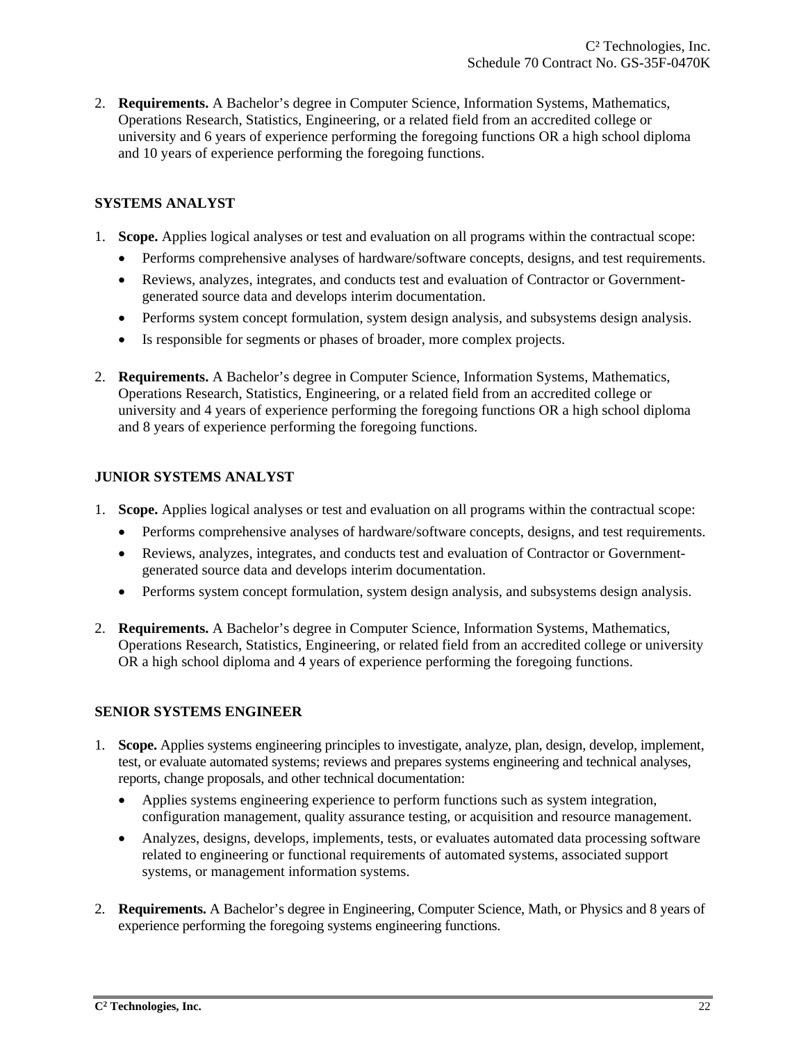2. **Requirements.** A Bachelor's degree in Computer Science, Information Systems, Mathematics, Operations Research, Statistics, Engineering, or a related field from an accredited college or university and 6 years of experience performing the foregoing functions OR a high school diploma and 10 years of experience performing the foregoing functions.

## **SYSTEMS ANALYST**

- 1. **Scope.** Applies logical analyses or test and evaluation on all programs within the contractual scope:
	- Performs comprehensive analyses of hardware/software concepts, designs, and test requirements.
	- Reviews, analyzes, integrates, and conducts test and evaluation of Contractor or Governmentgenerated source data and develops interim documentation.
	- Performs system concept formulation, system design analysis, and subsystems design analysis.
	- Is responsible for segments or phases of broader, more complex projects.
- 2. **Requirements.** A Bachelor's degree in Computer Science, Information Systems, Mathematics, Operations Research, Statistics, Engineering, or a related field from an accredited college or university and 4 years of experience performing the foregoing functions OR a high school diploma and 8 years of experience performing the foregoing functions.

## **JUNIOR SYSTEMS ANALYST**

- 1. **Scope.** Applies logical analyses or test and evaluation on all programs within the contractual scope:
	- Performs comprehensive analyses of hardware/software concepts, designs, and test requirements.
	- Reviews, analyzes, integrates, and conducts test and evaluation of Contractor or Governmentgenerated source data and develops interim documentation.
	- Performs system concept formulation, system design analysis, and subsystems design analysis.
- 2. **Requirements.** A Bachelor's degree in Computer Science, Information Systems, Mathematics, Operations Research, Statistics, Engineering, or related field from an accredited college or university OR a high school diploma and 4 years of experience performing the foregoing functions.

## **SENIOR SYSTEMS ENGINEER**

- 1. **Scope.** Applies systems engineering principles to investigate, analyze, plan, design, develop, implement, test, or evaluate automated systems; reviews and prepares systems engineering and technical analyses, reports, change proposals, and other technical documentation:
	- Applies systems engineering experience to perform functions such as system integration, configuration management, quality assurance testing, or acquisition and resource management.
	- Analyzes, designs, develops, implements, tests, or evaluates automated data processing software related to engineering or functional requirements of automated systems, associated support systems, or management information systems.
- 2. **Requirements.** A Bachelor's degree in Engineering, Computer Science, Math, or Physics and 8 years of experience performing the foregoing systems engineering functions.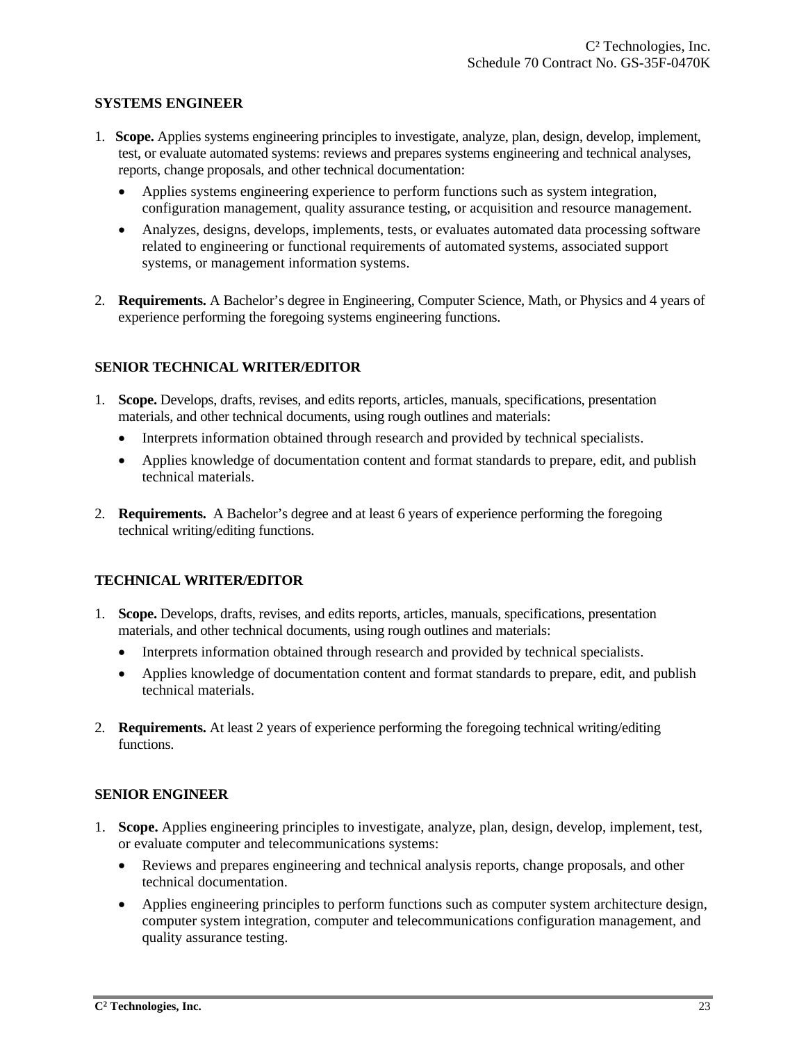#### **SYSTEMS ENGINEER**

- 1. **Scope.** Applies systems engineering principles to investigate, analyze, plan, design, develop, implement, test, or evaluate automated systems: reviews and prepares systems engineering and technical analyses, reports, change proposals, and other technical documentation:
	- Applies systems engineering experience to perform functions such as system integration, configuration management, quality assurance testing, or acquisition and resource management.
	- Analyzes, designs, develops, implements, tests, or evaluates automated data processing software related to engineering or functional requirements of automated systems, associated support systems, or management information systems.
- 2. **Requirements.** A Bachelor's degree in Engineering, Computer Science, Math, or Physics and 4 years of experience performing the foregoing systems engineering functions.

#### **SENIOR TECHNICAL WRITER/EDITOR**

- 1. **Scope.** Develops, drafts, revises, and edits reports, articles, manuals, specifications, presentation materials, and other technical documents, using rough outlines and materials:
	- Interprets information obtained through research and provided by technical specialists.
	- Applies knowledge of documentation content and format standards to prepare, edit, and publish technical materials.
- 2. **Requirements.** A Bachelor's degree and at least 6 years of experience performing the foregoing technical writing/editing functions.

## **TECHNICAL WRITER/EDITOR**

- 1. **Scope.** Develops, drafts, revises, and edits reports, articles, manuals, specifications, presentation materials, and other technical documents, using rough outlines and materials:
	- Interprets information obtained through research and provided by technical specialists.
	- Applies knowledge of documentation content and format standards to prepare, edit, and publish technical materials.
- 2. **Requirements.** At least 2 years of experience performing the foregoing technical writing/editing functions.

#### **SENIOR ENGINEER**

- 1. **Scope.** Applies engineering principles to investigate, analyze, plan, design, develop, implement, test, or evaluate computer and telecommunications systems:
	- Reviews and prepares engineering and technical analysis reports, change proposals, and other technical documentation.
	- Applies engineering principles to perform functions such as computer system architecture design, computer system integration, computer and telecommunications configuration management, and quality assurance testing.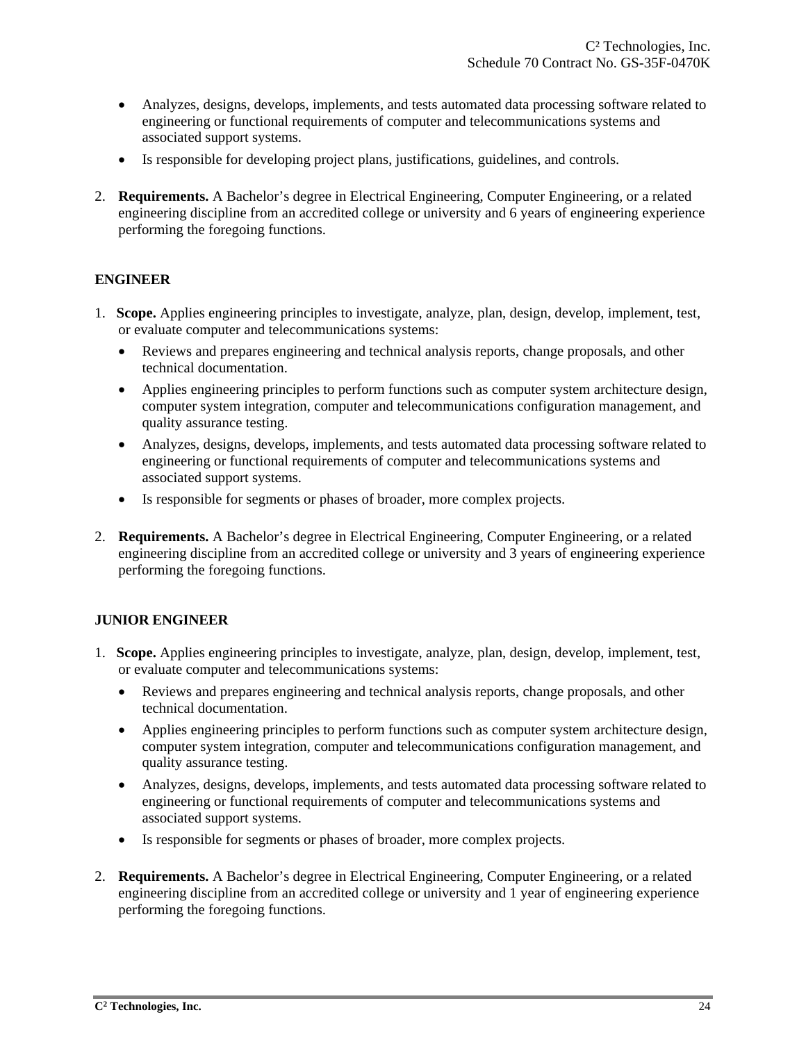- Analyzes, designs, develops, implements, and tests automated data processing software related to engineering or functional requirements of computer and telecommunications systems and associated support systems.
- Is responsible for developing project plans, justifications, guidelines, and controls.
- 2. **Requirements.** A Bachelor's degree in Electrical Engineering, Computer Engineering, or a related engineering discipline from an accredited college or university and 6 years of engineering experience performing the foregoing functions.

## **ENGINEER**

- 1. **Scope.** Applies engineering principles to investigate, analyze, plan, design, develop, implement, test, or evaluate computer and telecommunications systems:
	- Reviews and prepares engineering and technical analysis reports, change proposals, and other technical documentation.
	- Applies engineering principles to perform functions such as computer system architecture design, computer system integration, computer and telecommunications configuration management, and quality assurance testing.
	- Analyzes, designs, develops, implements, and tests automated data processing software related to engineering or functional requirements of computer and telecommunications systems and associated support systems.
	- Is responsible for segments or phases of broader, more complex projects.
- 2. **Requirements.** A Bachelor's degree in Electrical Engineering, Computer Engineering, or a related engineering discipline from an accredited college or university and 3 years of engineering experience performing the foregoing functions.

## **JUNIOR ENGINEER**

- 1. **Scope.** Applies engineering principles to investigate, analyze, plan, design, develop, implement, test, or evaluate computer and telecommunications systems:
	- Reviews and prepares engineering and technical analysis reports, change proposals, and other technical documentation.
	- Applies engineering principles to perform functions such as computer system architecture design, computer system integration, computer and telecommunications configuration management, and quality assurance testing.
	- Analyzes, designs, develops, implements, and tests automated data processing software related to engineering or functional requirements of computer and telecommunications systems and associated support systems.
	- Is responsible for segments or phases of broader, more complex projects.
- 2. **Requirements.** A Bachelor's degree in Electrical Engineering, Computer Engineering, or a related engineering discipline from an accredited college or university and 1 year of engineering experience performing the foregoing functions.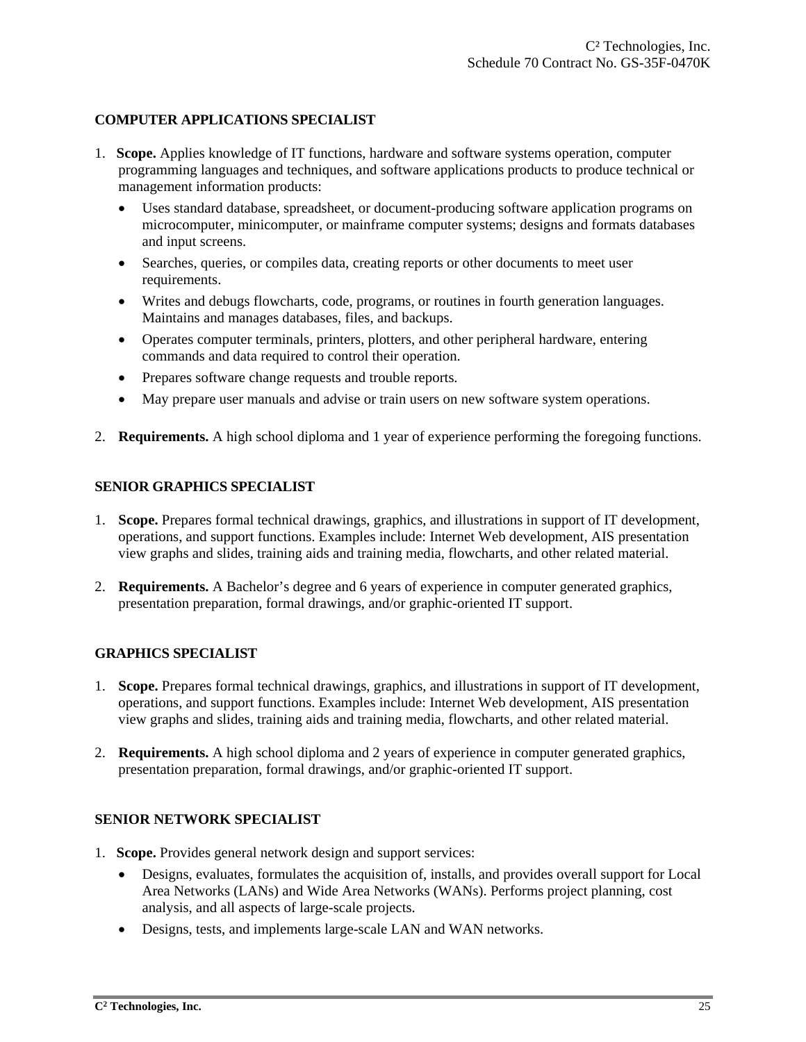## **COMPUTER APPLICATIONS SPECIALIST**

- 1. **Scope.** Applies knowledge of IT functions, hardware and software systems operation, computer programming languages and techniques, and software applications products to produce technical or management information products:
	- Uses standard database, spreadsheet, or document-producing software application programs on microcomputer, minicomputer, or mainframe computer systems; designs and formats databases and input screens.
	- Searches, queries, or compiles data, creating reports or other documents to meet user requirements.
	- Writes and debugs flowcharts, code, programs, or routines in fourth generation languages. Maintains and manages databases, files, and backups.
	- Operates computer terminals, printers, plotters, and other peripheral hardware, entering commands and data required to control their operation.
	- Prepares software change requests and trouble reports.
	- May prepare user manuals and advise or train users on new software system operations.
- 2. **Requirements.** A high school diploma and 1 year of experience performing the foregoing functions.

#### **SENIOR GRAPHICS SPECIALIST**

- 1. **Scope.** Prepares formal technical drawings, graphics, and illustrations in support of IT development, operations, and support functions. Examples include: Internet Web development, AIS presentation view graphs and slides, training aids and training media, flowcharts, and other related material.
- 2. **Requirements.** A Bachelor's degree and 6 years of experience in computer generated graphics, presentation preparation, formal drawings, and/or graphic-oriented IT support.

#### **GRAPHICS SPECIALIST**

- 1. **Scope.** Prepares formal technical drawings, graphics, and illustrations in support of IT development, operations, and support functions. Examples include: Internet Web development, AIS presentation view graphs and slides, training aids and training media, flowcharts, and other related material.
- 2. **Requirements.** A high school diploma and 2 years of experience in computer generated graphics, presentation preparation, formal drawings, and/or graphic-oriented IT support.

## **SENIOR NETWORK SPECIALIST**

- 1. **Scope.** Provides general network design and support services:
	- Designs, evaluates, formulates the acquisition of, installs, and provides overall support for Local Area Networks (LANs) and Wide Area Networks (WANs). Performs project planning, cost analysis, and all aspects of large-scale projects.
	- Designs, tests, and implements large-scale LAN and WAN networks.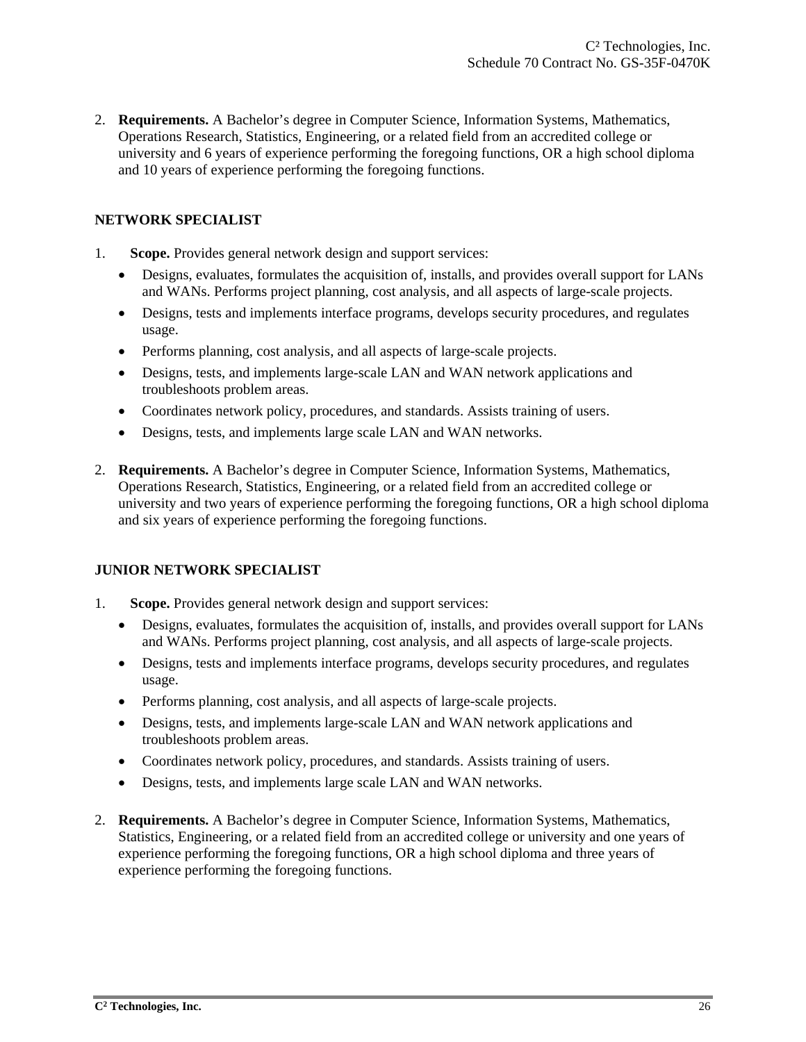2. **Requirements.** A Bachelor's degree in Computer Science, Information Systems, Mathematics, Operations Research, Statistics, Engineering, or a related field from an accredited college or university and 6 years of experience performing the foregoing functions, OR a high school diploma and 10 years of experience performing the foregoing functions.

## **NETWORK SPECIALIST**

- 1. **Scope.** Provides general network design and support services:
	- Designs, evaluates, formulates the acquisition of, installs, and provides overall support for LANs and WANs. Performs project planning, cost analysis, and all aspects of large-scale projects.
	- Designs, tests and implements interface programs, develops security procedures, and regulates usage.
	- Performs planning, cost analysis, and all aspects of large-scale projects.
	- Designs, tests, and implements large-scale LAN and WAN network applications and troubleshoots problem areas.
	- Coordinates network policy, procedures, and standards. Assists training of users.
	- Designs, tests, and implements large scale LAN and WAN networks.
- 2. **Requirements.** A Bachelor's degree in Computer Science, Information Systems, Mathematics, Operations Research, Statistics, Engineering, or a related field from an accredited college or university and two years of experience performing the foregoing functions, OR a high school diploma and six years of experience performing the foregoing functions.

## **JUNIOR NETWORK SPECIALIST**

- 1. **Scope.** Provides general network design and support services:
	- Designs, evaluates, formulates the acquisition of, installs, and provides overall support for LANs and WANs. Performs project planning, cost analysis, and all aspects of large-scale projects.
	- Designs, tests and implements interface programs, develops security procedures, and regulates usage.
	- Performs planning, cost analysis, and all aspects of large-scale projects.
	- Designs, tests, and implements large-scale LAN and WAN network applications and troubleshoots problem areas.
	- Coordinates network policy, procedures, and standards. Assists training of users.
	- Designs, tests, and implements large scale LAN and WAN networks.
- 2. **Requirements.** A Bachelor's degree in Computer Science, Information Systems, Mathematics, Statistics, Engineering, or a related field from an accredited college or university and one years of experience performing the foregoing functions, OR a high school diploma and three years of experience performing the foregoing functions.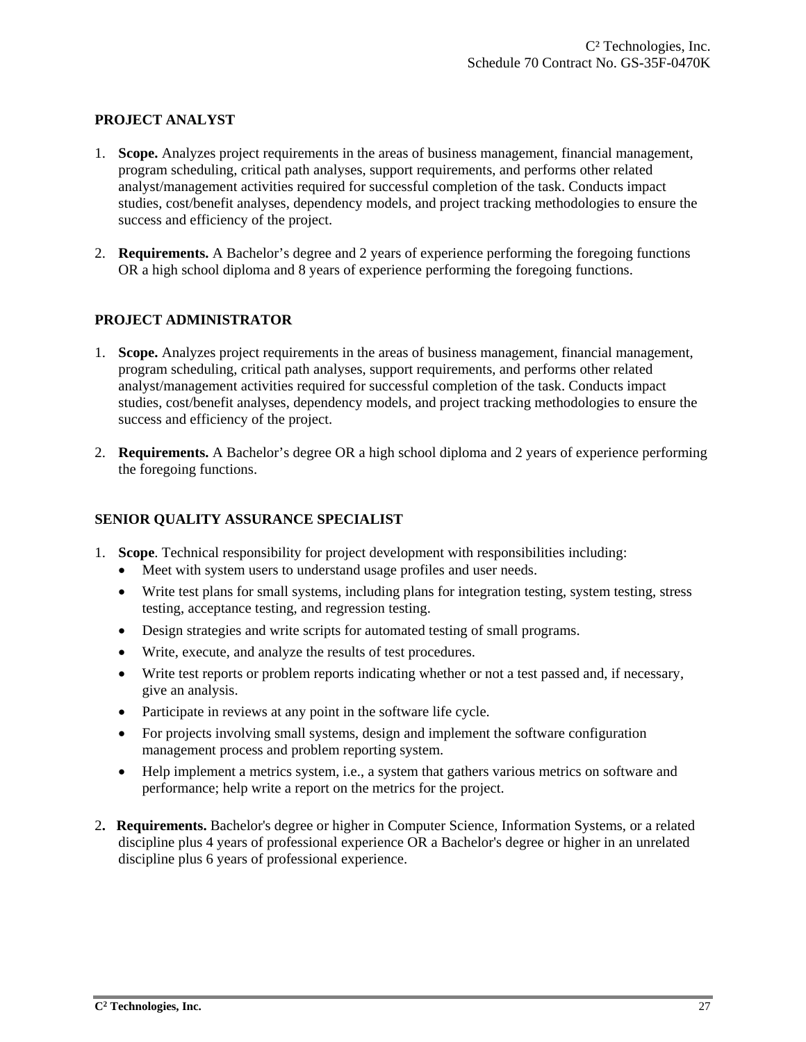## **PROJECT ANALYST**

- 1. **Scope.** Analyzes project requirements in the areas of business management, financial management, program scheduling, critical path analyses, support requirements, and performs other related analyst/management activities required for successful completion of the task. Conducts impact studies, cost/benefit analyses, dependency models, and project tracking methodologies to ensure the success and efficiency of the project.
- 2. **Requirements.** A Bachelor's degree and 2 years of experience performing the foregoing functions OR a high school diploma and 8 years of experience performing the foregoing functions.

#### **PROJECT ADMINISTRATOR**

- 1. **Scope.** Analyzes project requirements in the areas of business management, financial management, program scheduling, critical path analyses, support requirements, and performs other related analyst/management activities required for successful completion of the task. Conducts impact studies, cost/benefit analyses, dependency models, and project tracking methodologies to ensure the success and efficiency of the project.
- 2. **Requirements.** A Bachelor's degree OR a high school diploma and 2 years of experience performing the foregoing functions.

#### **SENIOR QUALITY ASSURANCE SPECIALIST**

- 1. **Scope**. Technical responsibility for project development with responsibilities including:
	- Meet with system users to understand usage profiles and user needs.
	- Write test plans for small systems, including plans for integration testing, system testing, stress testing, acceptance testing, and regression testing.
	- Design strategies and write scripts for automated testing of small programs.
	- Write, execute, and analyze the results of test procedures.
	- Write test reports or problem reports indicating whether or not a test passed and, if necessary, give an analysis.
	- Participate in reviews at any point in the software life cycle.
	- For projects involving small systems, design and implement the software configuration management process and problem reporting system.
	- Help implement a metrics system, i.e., a system that gathers various metrics on software and performance; help write a report on the metrics for the project.
- 2**. Requirements.** Bachelor's degree or higher in Computer Science, Information Systems, or a related discipline plus 4 years of professional experience OR a Bachelor's degree or higher in an unrelated discipline plus 6 years of professional experience.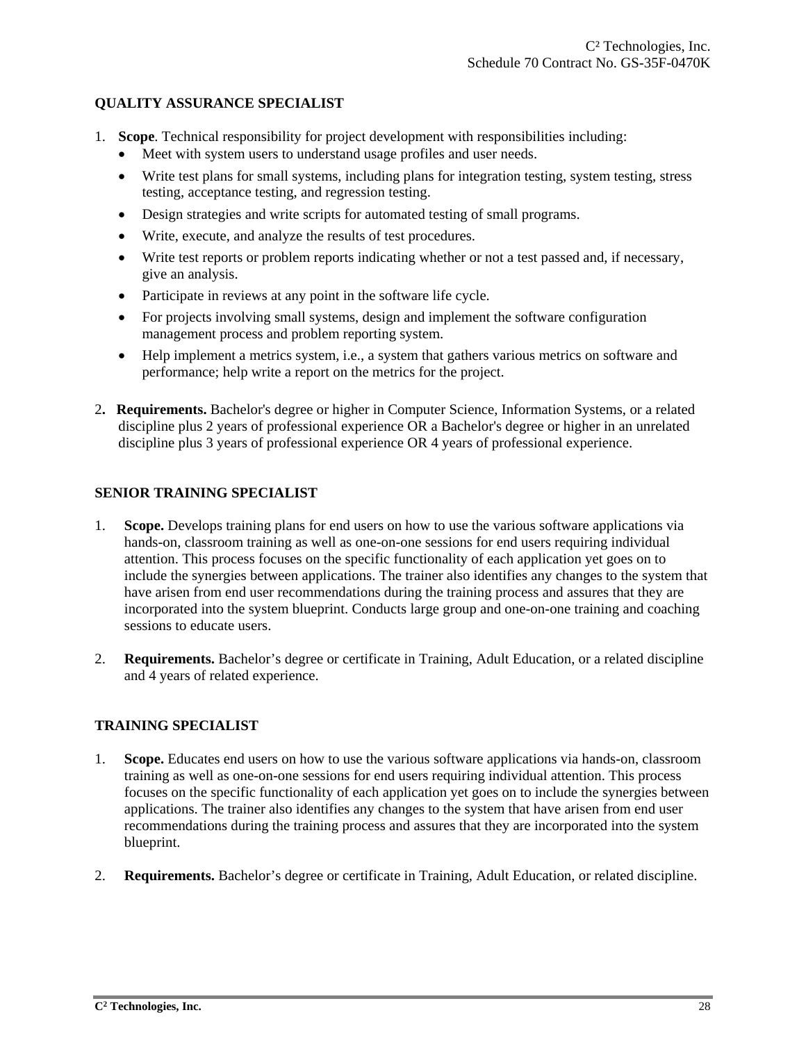#### **QUALITY ASSURANCE SPECIALIST**

- 1. **Scope**. Technical responsibility for project development with responsibilities including:
	- Meet with system users to understand usage profiles and user needs.
	- Write test plans for small systems, including plans for integration testing, system testing, stress testing, acceptance testing, and regression testing.
	- Design strategies and write scripts for automated testing of small programs.
	- Write, execute, and analyze the results of test procedures.
	- Write test reports or problem reports indicating whether or not a test passed and, if necessary, give an analysis.
	- Participate in reviews at any point in the software life cycle.
	- For projects involving small systems, design and implement the software configuration management process and problem reporting system.
	- Help implement a metrics system, i.e., a system that gathers various metrics on software and performance; help write a report on the metrics for the project.
- 2**. Requirements.** Bachelor's degree or higher in Computer Science, Information Systems, or a related discipline plus 2 years of professional experience OR a Bachelor's degree or higher in an unrelated discipline plus 3 years of professional experience OR 4 years of professional experience.

## **SENIOR TRAINING SPECIALIST**

- 1. **Scope.** Develops training plans for end users on how to use the various software applications via hands-on, classroom training as well as one-on-one sessions for end users requiring individual attention. This process focuses on the specific functionality of each application yet goes on to include the synergies between applications. The trainer also identifies any changes to the system that have arisen from end user recommendations during the training process and assures that they are incorporated into the system blueprint. Conducts large group and one-on-one training and coaching sessions to educate users.
- 2. **Requirements.** Bachelor's degree or certificate in Training, Adult Education, or a related discipline and 4 years of related experience.

#### **TRAINING SPECIALIST**

- 1. **Scope.** Educates end users on how to use the various software applications via hands-on, classroom training as well as one-on-one sessions for end users requiring individual attention. This process focuses on the specific functionality of each application yet goes on to include the synergies between applications. The trainer also identifies any changes to the system that have arisen from end user recommendations during the training process and assures that they are incorporated into the system blueprint.
- 2. **Requirements.** Bachelor's degree or certificate in Training, Adult Education, or related discipline.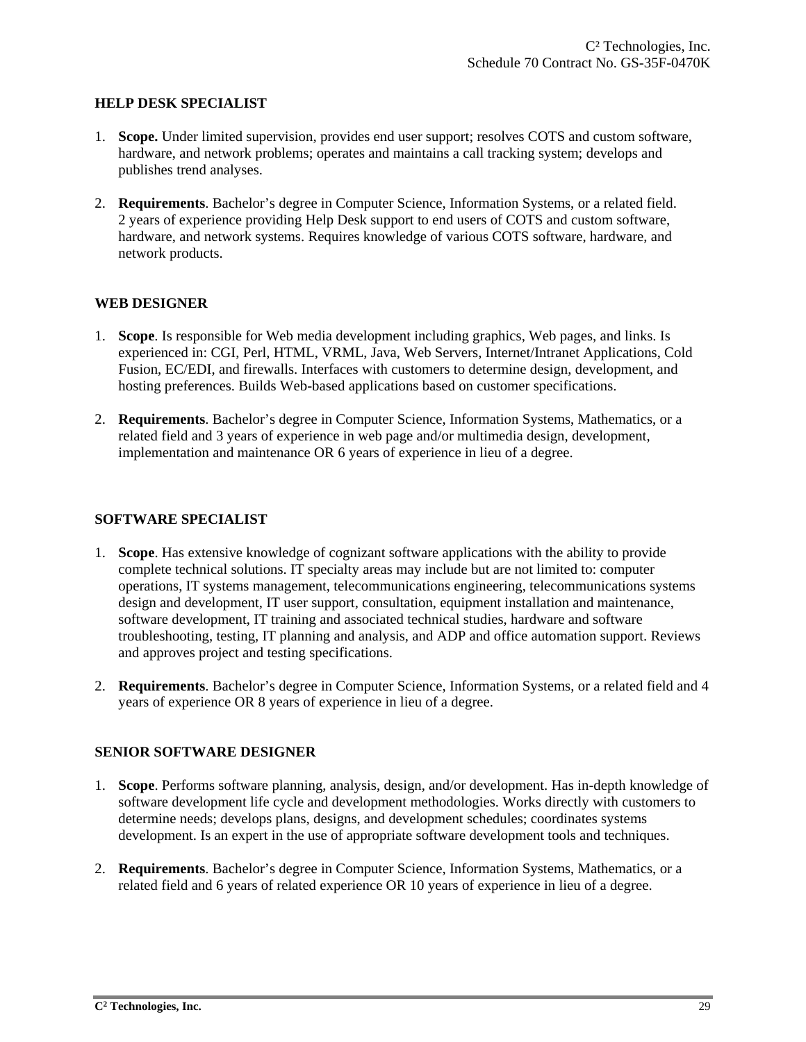#### **HELP DESK SPECIALIST**

- 1. **Scope.** Under limited supervision, provides end user support; resolves COTS and custom software, hardware, and network problems; operates and maintains a call tracking system; develops and publishes trend analyses.
- 2. **Requirements**. Bachelor's degree in Computer Science, Information Systems, or a related field. 2 years of experience providing Help Desk support to end users of COTS and custom software, hardware, and network systems. Requires knowledge of various COTS software, hardware, and network products.

## **WEB DESIGNER**

- 1. **Scope**. Is responsible for Web media development including graphics, Web pages, and links. Is experienced in: CGI, Perl, HTML, VRML, Java, Web Servers, Internet/Intranet Applications, Cold Fusion, EC/EDI, and firewalls. Interfaces with customers to determine design, development, and hosting preferences. Builds Web-based applications based on customer specifications.
- 2. **Requirements**. Bachelor's degree in Computer Science, Information Systems, Mathematics, or a related field and 3 years of experience in web page and/or multimedia design, development, implementation and maintenance OR 6 years of experience in lieu of a degree.

#### **SOFTWARE SPECIALIST**

- 1. **Scope**. Has extensive knowledge of cognizant software applications with the ability to provide complete technical solutions. IT specialty areas may include but are not limited to: computer operations, IT systems management, telecommunications engineering, telecommunications systems design and development, IT user support, consultation, equipment installation and maintenance, software development, IT training and associated technical studies, hardware and software troubleshooting, testing, IT planning and analysis, and ADP and office automation support. Reviews and approves project and testing specifications.
- 2. **Requirements**. Bachelor's degree in Computer Science, Information Systems, or a related field and 4 years of experience OR 8 years of experience in lieu of a degree.

#### **SENIOR SOFTWARE DESIGNER**

- 1. **Scope**. Performs software planning, analysis, design, and/or development. Has in-depth knowledge of software development life cycle and development methodologies. Works directly with customers to determine needs; develops plans, designs, and development schedules; coordinates systems development. Is an expert in the use of appropriate software development tools and techniques.
- 2. **Requirements**. Bachelor's degree in Computer Science, Information Systems, Mathematics, or a related field and 6 years of related experience OR 10 years of experience in lieu of a degree.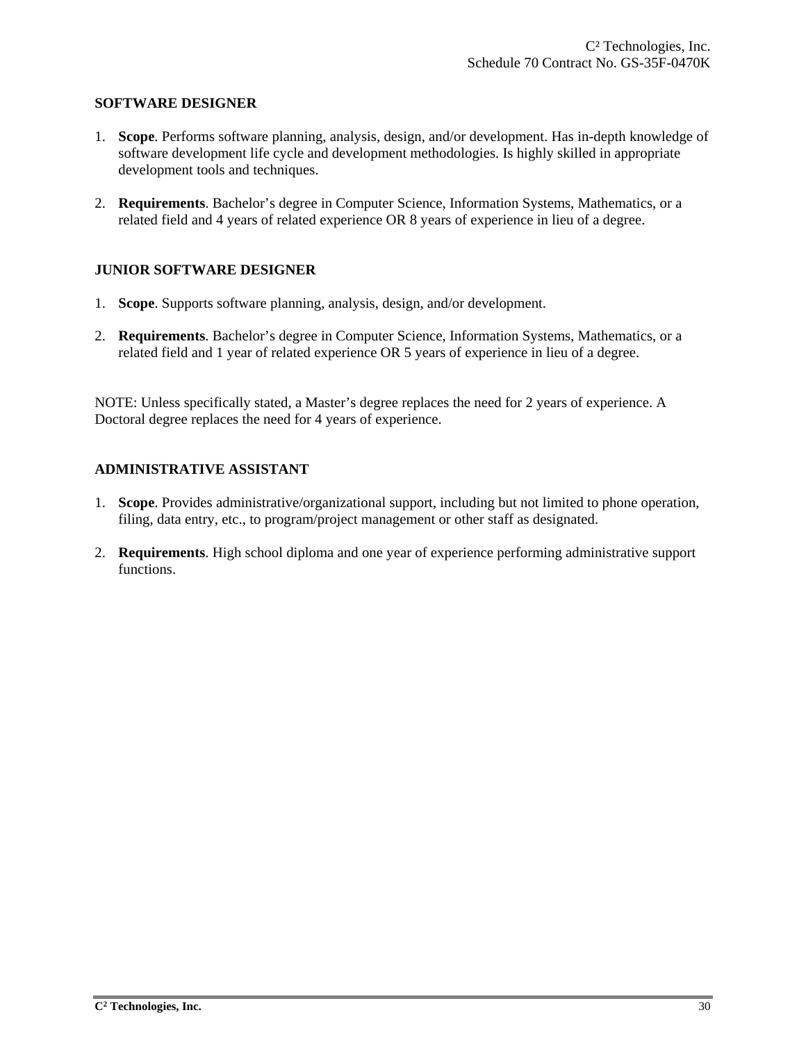#### **SOFTWARE DESIGNER**

- 1. **Scope**. Performs software planning, analysis, design, and/or development. Has in-depth knowledge of software development life cycle and development methodologies. Is highly skilled in appropriate development tools and techniques.
- 2. **Requirements**. Bachelor's degree in Computer Science, Information Systems, Mathematics, or a related field and 4 years of related experience OR 8 years of experience in lieu of a degree.

#### **JUNIOR SOFTWARE DESIGNER**

- 1. **Scope**. Supports software planning, analysis, design, and/or development.
- 2. **Requirements**. Bachelor's degree in Computer Science, Information Systems, Mathematics, or a related field and 1 year of related experience OR 5 years of experience in lieu of a degree.

NOTE: Unless specifically stated, a Master's degree replaces the need for 2 years of experience. A Doctoral degree replaces the need for 4 years of experience.

## **ADMINISTRATIVE ASSISTANT**

- 1. **Scope**. Provides administrative/organizational support, including but not limited to phone operation, filing, data entry, etc., to program/project management or other staff as designated.
- 2. **Requirements**. High school diploma and one year of experience performing administrative support functions.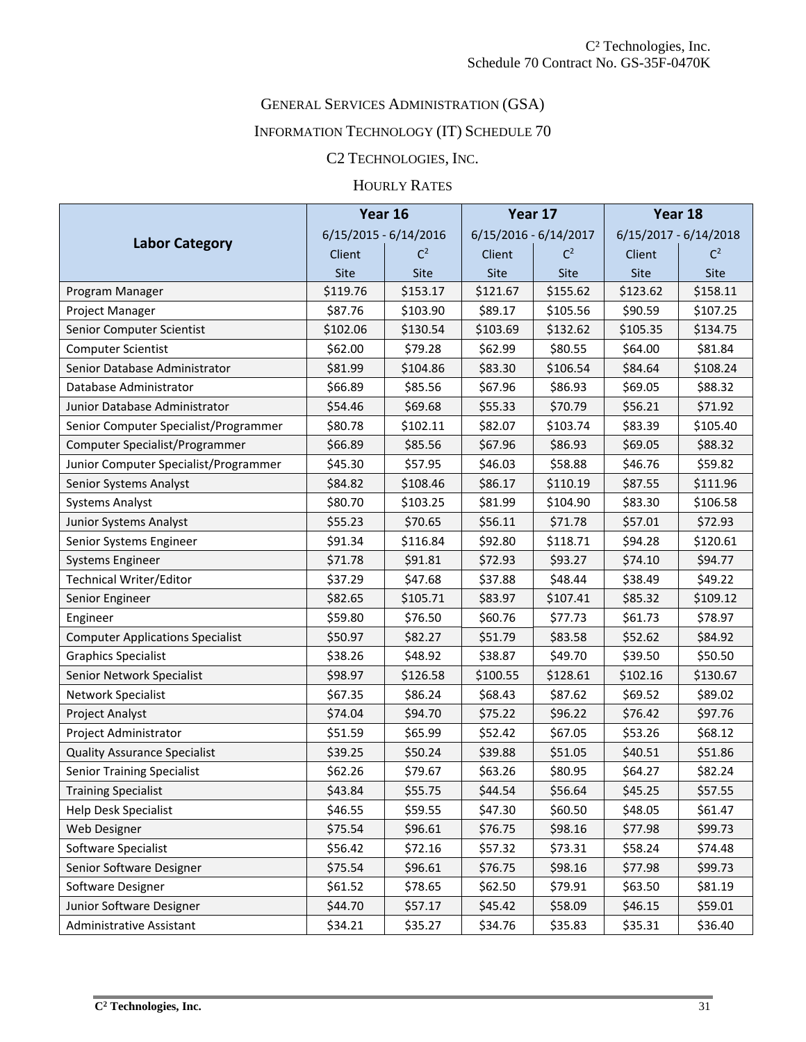# GENERAL SERVICES ADMINISTRATION (GSA)

# INFORMATION TECHNOLOGY (IT) SCHEDULE 70

# C2 TECHNOLOGIES, INC.

# HOURLY RATES

|                                         |          | Year 16                 |             | Year 17                 |          | Year 18                 |  |
|-----------------------------------------|----------|-------------------------|-------------|-------------------------|----------|-------------------------|--|
|                                         |          | $6/15/2015 - 6/14/2016$ |             | $6/15/2016 - 6/14/2017$ |          | $6/15/2017 - 6/14/2018$ |  |
| <b>Labor Category</b>                   | Client   | $C^2$                   | Client      | C <sup>2</sup>          | Client   | $C^2$                   |  |
|                                         | Site     | Site                    | <b>Site</b> | Site                    | Site     | Site                    |  |
| Program Manager                         | \$119.76 | \$153.17                | \$121.67    | \$155.62                | \$123.62 | \$158.11                |  |
| Project Manager                         | \$87.76  | \$103.90                | \$89.17     | \$105.56                | \$90.59  | \$107.25                |  |
| Senior Computer Scientist               | \$102.06 | \$130.54                | \$103.69    | \$132.62                | \$105.35 | \$134.75                |  |
| <b>Computer Scientist</b>               | \$62.00  | \$79.28                 | \$62.99     | \$80.55                 | \$64.00  | \$81.84                 |  |
| Senior Database Administrator           | \$81.99  | \$104.86                | \$83.30     | \$106.54                | \$84.64  | \$108.24                |  |
| Database Administrator                  | \$66.89  | \$85.56                 | \$67.96     | \$86.93                 | \$69.05  | \$88.32                 |  |
| Junior Database Administrator           | \$54.46  | \$69.68                 | \$55.33     | \$70.79                 | \$56.21  | \$71.92                 |  |
| Senior Computer Specialist/Programmer   | \$80.78  | \$102.11                | \$82.07     | \$103.74                | \$83.39  | \$105.40                |  |
| Computer Specialist/Programmer          | \$66.89  | \$85.56                 | \$67.96     | \$86.93                 | \$69.05  | \$88.32                 |  |
| Junior Computer Specialist/Programmer   | \$45.30  | \$57.95                 | \$46.03     | \$58.88                 | \$46.76  | \$59.82                 |  |
| Senior Systems Analyst                  | \$84.82  | \$108.46                | \$86.17     | \$110.19                | \$87.55  | \$111.96                |  |
| <b>Systems Analyst</b>                  | \$80.70  | \$103.25                | \$81.99     | \$104.90                | \$83.30  | \$106.58                |  |
| Junior Systems Analyst                  | \$55.23  | \$70.65                 | \$56.11     | \$71.78                 | \$57.01  | \$72.93                 |  |
| Senior Systems Engineer                 | \$91.34  | \$116.84                | \$92.80     | \$118.71                | \$94.28  | \$120.61                |  |
| <b>Systems Engineer</b>                 | \$71.78  | \$91.81                 | \$72.93     | \$93.27                 | \$74.10  | \$94.77                 |  |
| <b>Technical Writer/Editor</b>          | \$37.29  | \$47.68                 | \$37.88     | \$48.44                 | \$38.49  | \$49.22                 |  |
| Senior Engineer                         | \$82.65  | \$105.71                | \$83.97     | \$107.41                | \$85.32  | \$109.12                |  |
| Engineer                                | \$59.80  | \$76.50                 | \$60.76     | \$77.73                 | \$61.73  | \$78.97                 |  |
| <b>Computer Applications Specialist</b> | \$50.97  | \$82.27                 | \$51.79     | \$83.58                 | \$52.62  | \$84.92                 |  |
| <b>Graphics Specialist</b>              | \$38.26  | \$48.92                 | \$38.87     | \$49.70                 | \$39.50  | \$50.50                 |  |
| Senior Network Specialist               | \$98.97  | \$126.58                | \$100.55    | \$128.61                | \$102.16 | \$130.67                |  |
| Network Specialist                      | \$67.35  | \$86.24                 | \$68.43     | \$87.62                 | \$69.52  | \$89.02                 |  |
| Project Analyst                         | \$74.04  | \$94.70                 | \$75.22     | \$96.22                 | \$76.42  | \$97.76                 |  |
| Project Administrator                   | \$51.59  | \$65.99                 | \$52.42     | \$67.05                 | \$53.26  | \$68.12                 |  |
| <b>Quality Assurance Specialist</b>     | \$39.25  | \$50.24                 | \$39.88     | \$51.05                 | \$40.51  | \$51.86                 |  |
| <b>Senior Training Specialist</b>       | \$62.26  | \$79.67                 | \$63.26     | \$80.95                 | \$64.27  | \$82.24                 |  |
| <b>Training Specialist</b>              | \$43.84  | \$55.75                 | \$44.54     | \$56.64                 | \$45.25  | \$57.55                 |  |
| Help Desk Specialist                    | \$46.55  | \$59.55                 | \$47.30     | \$60.50                 | \$48.05  | \$61.47                 |  |
| Web Designer                            | \$75.54  | \$96.61                 | \$76.75     | \$98.16                 | \$77.98  | \$99.73                 |  |
| Software Specialist                     | \$56.42  | \$72.16                 | \$57.32     | \$73.31                 | \$58.24  | \$74.48                 |  |
| Senior Software Designer                | \$75.54  | \$96.61                 | \$76.75     | \$98.16                 | \$77.98  | \$99.73                 |  |
| Software Designer                       | \$61.52  | \$78.65                 | \$62.50     | \$79.91                 | \$63.50  | \$81.19                 |  |
| Junior Software Designer                | \$44.70  | \$57.17                 | \$45.42     | \$58.09                 | \$46.15  | \$59.01                 |  |
| Administrative Assistant                | \$34.21  | \$35.27                 | \$34.76     | \$35.83                 | \$35.31  | \$36.40                 |  |